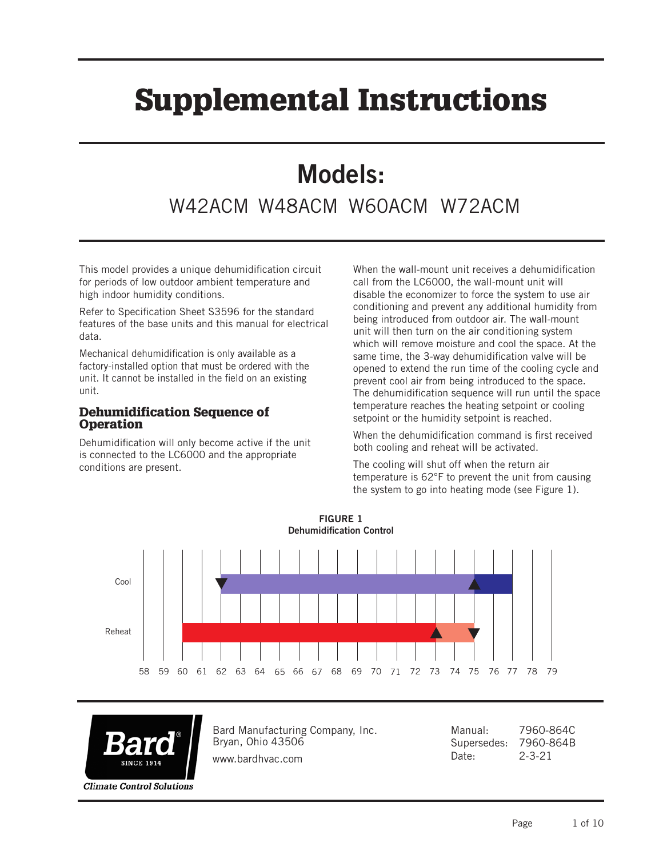# Supplemental Instructions

## Models:

### W42ACM W48ACM W60ACM W72ACM

This model provides a unique dehumidification circuit for periods of low outdoor ambient temperature and high indoor humidity conditions.

Refer to Specification Sheet S3596 for the standard features of the base units and this manual for electrical data.

Mechanical dehumidification is only available as a factory-installed option that must be ordered with the unit. It cannot be installed in the field on an existing unit.

#### Dehumidification Sequence of **Operation**

Dehumidification will only become active if the unit is connected to the LC6000 and the appropriate conditions are present.

When the wall-mount unit receives a dehumidification call from the LC6000, the wall-mount unit will disable the economizer to force the system to use air conditioning and prevent any additional humidity from being introduced from outdoor air. The wall-mount unit will then turn on the air conditioning system which will remove moisture and cool the space. At the same time, the 3-way dehumidification valve will be opened to extend the run time of the cooling cycle and prevent cool air from being introduced to the space. The dehumidification sequence will run until the space temperature reaches the heating setpoint or cooling setpoint or the humidity setpoint is reached.

When the dehumidification command is first received both cooling and reheat will be activated.

The cooling will shut off when the return air temperature is 62°F to prevent the unit from causing the system to go into heating mode (see Figure 1).





**Climate Control Solutions** 

Bard Manufacturing Company, Inc. Bryan, Ohio 43506

www.bardhvac.com

Manual: 7960-864C Supersedes: 7960-864B Date: 2-3-21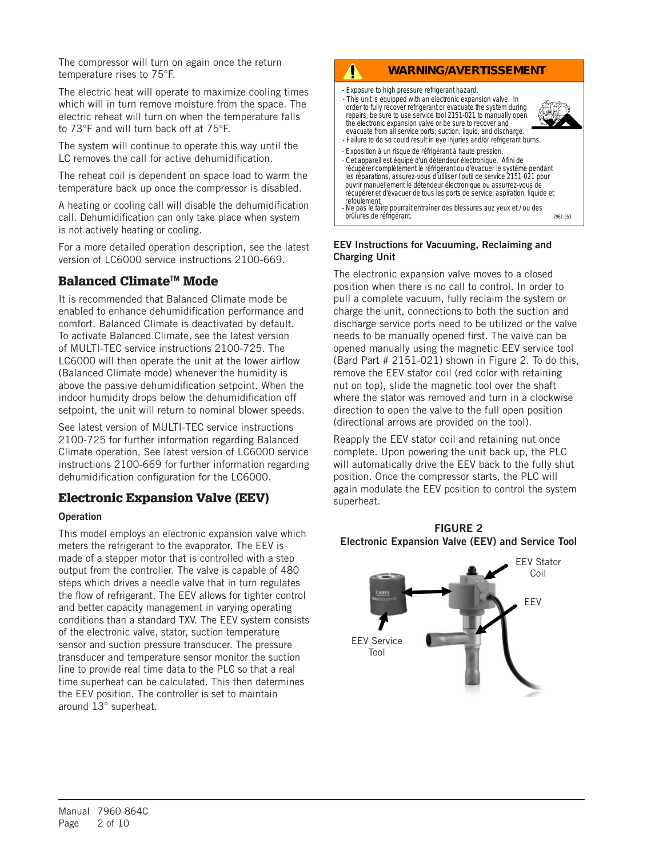The compressor will turn on again once the return temperature rises to 75°F.

The electric heat will operate to maximize cooling times which will in turn remove moisture from the space. The electric reheat will turn on when the temperature falls to 73°F and will turn back off at 75°F.

The system will continue to operate this way until the LC removes the call for active dehumidification.

The reheat coil is dependent on space load to warm the temperature back up once the compressor is disabled.

A heating or cooling call will disable the dehumidification call. Dehumidification can only take place when system is not actively heating or cooling.

For a more detailed operation description, see the latest version of LC6000 service instructions 2100-669.

#### Balanced Climate<sup>™</sup> Mode

It is recommended that Balanced Climate mode be enabled to enhance dehumidification performance and comfort. Balanced Climate is deactivated by default. To activate Balanced Climate, see the latest version of MULTI-TEC service instructions 2100-725. The LC6000 will then operate the unit at the lower airflow (Balanced Climate mode) whenever the humidity is above the passive dehumidification setpoint. When the indoor humidity drops below the dehumidification off setpoint, the unit will return to nominal blower speeds.

See latest version of MULTI-TEC service instructions 2100-725 for further information regarding Balanced Climate operation. See latest version of LC6000 service instructions 2100-669 for further information regarding dehumidification configuration for the LC6000.

#### Electronic Expansion Valve (EEV)

#### **Operation**

This model employs an electronic expansion valve which meters the refrigerant to the evaporator. The EEV is made of a stepper motor that is controlled with a step output from the controller. The valve is capable of 480 steps which drives a needle valve that in turn regulates the flow of refrigerant. The EEV allows for tighter control and better capacity management in varying operating conditions than a standard TXV. The EEV system consists of the electronic valve, stator, suction temperature sensor and suction pressure transducer. The pressure transducer and temperature sensor monitor the suction line to provide real time data to the PLC so that a real time superheat can be calculated. This then determines the EEV position. The controller is set to maintain around 13° superheat.

#### **WARNING/AVERTISSEMENT**

- Exposure to high pressure refrigerant hazard.

 $\mathbf{0}$ 

- This unit is equipped with an electronic expansion valve. In order to fully recover refrigerant or evacuate the system during repairs, be sure to use service tool 2151-021 to manually open the electronic expansion valve or be sure to recover and evacuate from all service ports; suction, liquid, and discharge.



7961-953

- Failure to do so could result in eye injuries and/or refrigerant burns. - Exposition à un risque de réfrigérant à haute pression.
- Cet appareil est équipé d'un détendeur électronique. Afini de récupérer complètement le réfrigérant ou d'évacuer le système pendant les réparations, assurez-vous d'utiliser I'outil de service 2151-021 pour ouvrir manuellement le détendeur électronique ou assurrez-vous de récupérer et d'évacuer de tous les ports de service: aspiration, liquide et refoulement. - Ne pas le faire pourrait entraîner des blessures auz yeux et / ou des

brûlures de réfrigérant.

#### EEV Instructions for Vacuuming, Reclaiming and Charging Unit

The electronic expansion valve moves to a closed position when there is no call to control. In order to pull a complete vacuum, fully reclaim the system or charge the unit, connections to both the suction and discharge service ports need to be utilized or the valve needs to be manually opened first. The valve can be opened manually using the magnetic EEV service tool (Bard Part # 2151-021) shown in Figure 2. To do this, remove the EEV stator coil (red color with retaining nut on top), slide the magnetic tool over the shaft where the stator was removed and turn in a clockwise direction to open the valve to the full open position (directional arrows are provided on the tool).

Reapply the EEV stator coil and retaining nut once complete. Upon powering the unit back up, the PLC will automatically drive the EEV back to the fully shut position. Once the compressor starts, the PLC will again modulate the EEV position to control the system superheat.



#### FIGURE 2 Electronic Expansion Valve (EEV) and Service Tool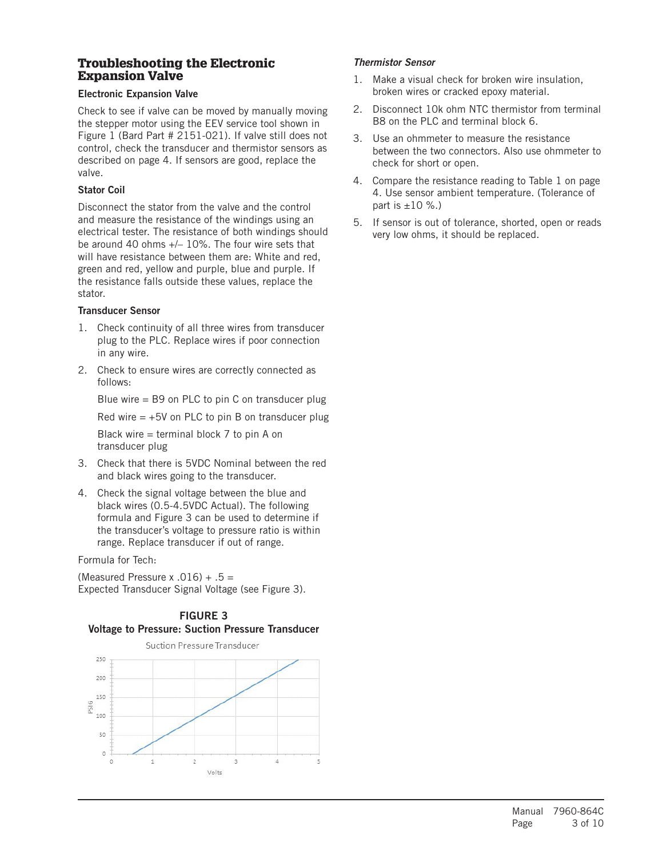#### Troubleshooting the Electronic Expansion Valve

#### Electronic Expansion Valve

Check to see if valve can be moved by manually moving the stepper motor using the EEV service tool shown in Figure 1 (Bard Part # 2151-021). If valve still does not control, check the transducer and thermistor sensors as described on page 4. If sensors are good, replace the valve.

#### Stator Coil

Disconnect the stator from the valve and the control and measure the resistance of the windings using an electrical tester. The resistance of both windings should be around 40 ohms +/– 10%. The four wire sets that will have resistance between them are: White and red, green and red, yellow and purple, blue and purple. If the resistance falls outside these values, replace the stator.

#### Transducer Sensor

- 1. Check continuity of all three wires from transducer plug to the PLC. Replace wires if poor connection in any wire.
- 2. Check to ensure wires are correctly connected as follows:

Blue wire = B9 on PLC to pin C on transducer plug

Red wire  $= +5V$  on PLC to pin B on transducer plug

Black wire = terminal block 7 to pin A on transducer plug

- 3. Check that there is 5VDC Nominal between the red and black wires going to the transducer.
- 4. Check the signal voltage between the blue and black wires (0.5-4.5VDC Actual). The following formula and Figure 3 can be used to determine if the transducer's voltage to pressure ratio is within range. Replace transducer if out of range.

Formula for Tech:

(Measured Pressure x .016)  $+ .5 =$ Expected Transducer Signal Voltage (see Figure 3).





#### *Thermistor Sensor*

- 1. Make a visual check for broken wire insulation, broken wires or cracked epoxy material.
- 2. Disconnect 10k ohm NTC thermistor from terminal B8 on the PLC and terminal block 6.
- 3. Use an ohmmeter to measure the resistance between the two connectors. Also use ohmmeter to check for short or open.
- 4. Compare the resistance reading to Table 1 on page 4. Use sensor ambient temperature. (Tolerance of part is  $\pm 10$  %.)
- 5. If sensor is out of tolerance, shorted, open or reads very low ohms, it should be replaced.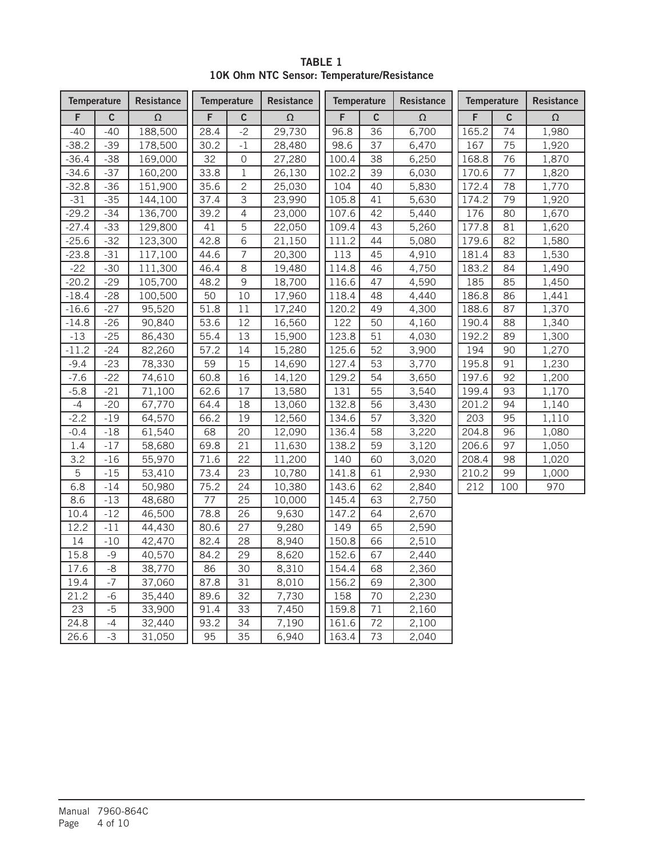|         | <b>Temperature</b> | Resistance |      | <b>Temperature</b> | Resistance | <b>Temperature</b> |              | <b>Resistance</b> | <b>Temperature</b> |             | Resistance |
|---------|--------------------|------------|------|--------------------|------------|--------------------|--------------|-------------------|--------------------|-------------|------------|
| F       | $\mathbf c$        | $\Omega$   | F    | $\mathsf c$        | $\Omega$   | F                  | $\mathsf{C}$ | $\Omega$          | F                  | $\mathbf c$ | $\Omega$   |
| $-40$   | $-40$              | 188,500    | 28.4 | $-2$               | 29,730     | 96.8               | 36           | 6,700             | 165.2              | 74          | 1,980      |
| $-38.2$ | $-39$              | 178,500    | 30.2 | $-1$               | 28,480     | 98.6               | 37           | 6,470             | 167                | 75          | 1,920      |
| $-36.4$ | $-38$              | 169,000    | 32   | 0                  | 27,280     | 100.4              | 38           | 6,250             | 168.8              | 76          | 1,870      |
| $-34.6$ | $-37$              | 160,200    | 33.8 | $\mathbf{1}$       | 26,130     | 102.2              | 39           | 6,030             | 170.6              | 77          | 1,820      |
| $-32.8$ | $-36$              | 151,900    | 35.6 | $\mathbf{2}$       | 25,030     | 104                | 40           | 5,830             | 172.4              | 78          | 1,770      |
| $-31$   | $-35$              | 144,100    | 37.4 | 3                  | 23,990     | 105.8              | 41           | 5,630             | 174.2              | 79          | 1,920      |
| $-29.2$ | $-34$              | 136,700    | 39.2 | $\overline{4}$     | 23,000     | 107.6              | 42           | 5,440             | 176                | 80          | 1,670      |
| $-27.4$ | $-33$              | 129,800    | 41   | 5                  | 22,050     | 109.4              | 43           | 5,260             | 177.8              | 81          | 1,620      |
| $-25.6$ | $-32$              | 123,300    | 42.8 | 6                  | 21,150     | 111.2              | 44           | 5,080             | 179.6              | 82          | 1,580      |
| $-23.8$ | $-31$              | 117,100    | 44.6 | 7                  | 20,300     | 113                | 45           | 4,910             | 181.4              | 83          | 1,530      |
| $-22$   | $-30$              | 111,300    | 46.4 | 8                  | 19,480     | 114.8              | 46           | 4,750             | 183.2              | 84          | 1,490      |
| $-20.2$ | $-29$              | 105,700    | 48.2 | 9                  | 18,700     | 116.6              | 47           | 4,590             | 185                | 85          | 1,450      |
| $-18.4$ | $-28$              | 100,500    | 50   | 10                 | 17,960     | 118.4              | 48           | 4,440             | 186.8              | 86          | 1,441      |
| $-16.6$ | $-27$              | 95,520     | 51.8 | $11\,$             | 17,240     | 120.2              | 49           | 4,300             | 188.6              | 87          | 1,370      |
| $-14.8$ | $-26$              | 90,840     | 53.6 | 12                 | 16,560     | 122                | 50           | 4,160             | 190.4              | 88          | 1,340      |
| $-13$   | $-25$              | 86,430     | 55.4 | 13                 | 15,900     | 123.8              | 51           | 4,030             | 192.2              | 89          | 1,300      |
| $-11.2$ | $-24$              | 82,260     | 57.2 | 14                 | 15,280     | 125.6              | 52           | 3,900             | 194                | 90          | 1,270      |
| $-9.4$  | $-23$              | 78,330     | 59   | 15                 | 14,690     | 127.4              | 53           | 3,770             | 195.8              | 91          | 1,230      |
| $-7.6$  | $-22$              | 74,610     | 60.8 | 16                 | 14,120     | 129.2              | 54           | 3,650             | 197.6              | 92          | 1,200      |
| $-5.8$  | $-21$              | 71,100     | 62.6 | 17                 | 13,580     | 131                | 55           | 3,540             | 199.4              | 93          | 1,170      |
| $-4$    | $-20$              | 67,770     | 64.4 | 18                 | 13,060     | 132.8              | 56           | 3,430             | 201.2              | 94          | 1,140      |
| $-2.2$  | $-19$              | 64,570     | 66.2 | 19                 | 12,560     | 134.6              | 57           | 3,320             | 203                | 95          | 1,110      |
| $-0.4$  | $-18$              | 61,540     | 68   | 20                 | 12,090     | 136.4              | 58           | 3,220             | 204.8              | 96          | 1,080      |
| 1.4     | $-17$              | 58,680     | 69.8 | 21                 | 11,630     | 138.2              | 59           | 3,120             | 206.6              | 97          | 1,050      |
| 3.2     | $-16$              | 55,970     | 71.6 | 22                 | 11,200     | 140                | 60           | 3,020             | 208.4              | 98          | 1,020      |
| 5       | $-15$              | 53,410     | 73.4 | 23                 | 10,780     | 141.8              | 61           | 2,930             | 210.2              | 99          | 1,000      |
| 6.8     | $-14$              | 50,980     | 75.2 | 24                 | 10,380     | 143.6              | 62           | 2,840             | 212                | 100         | 970        |
| 8.6     | $-13$              | 48,680     | 77   | 25                 | 10,000     | 145.4              | 63           | 2,750             |                    |             |            |
| 10.4    | $-12$              | 46,500     | 78.8 | 26                 | 9,630      | 147.2              | 64           | 2,670             |                    |             |            |
| 12.2    | $-11$              | 44,430     | 80.6 | 27                 | 9,280      | 149                | 65           | 2,590             |                    |             |            |
| 14      | $-10$              | 42,470     | 82.4 | 28                 | 8,940      | 150.8              | 66           | 2,510             |                    |             |            |
| 15.8    | $-9$               | 40,570     | 84.2 | 29                 | 8,620      | 152.6              | 67           | 2,440             |                    |             |            |
| 17.6    | $-8$               | 38,770     | 86   | 30                 | 8,310      | 154.4              | 68           | 2,360             |                    |             |            |
| 19.4    | $-7$               | 37,060     | 87.8 | 31                 | 8,010      | 156.2              | 69           | 2,300             |                    |             |            |
| 21.2    | $-6$               | 35,440     | 89.6 | 32                 | 7,730      | 158                | 70           | 2,230             |                    |             |            |
| 23      | $-5$               | 33,900     | 91.4 | 33                 | 7,450      | 159.8              | 71           | 2,160             |                    |             |            |
| 24.8    | $-4$               | 32,440     | 93.2 | 34                 | 7,190      | 161.6              | 72           | 2,100             |                    |             |            |
| 26.6    | $-3$               | 31,050     | 95   | 35                 | 6,940      | 163.4              | 73           | 2,040             |                    |             |            |

TABLE 1 10K Ohm NTC Sensor: Temperature/Resistance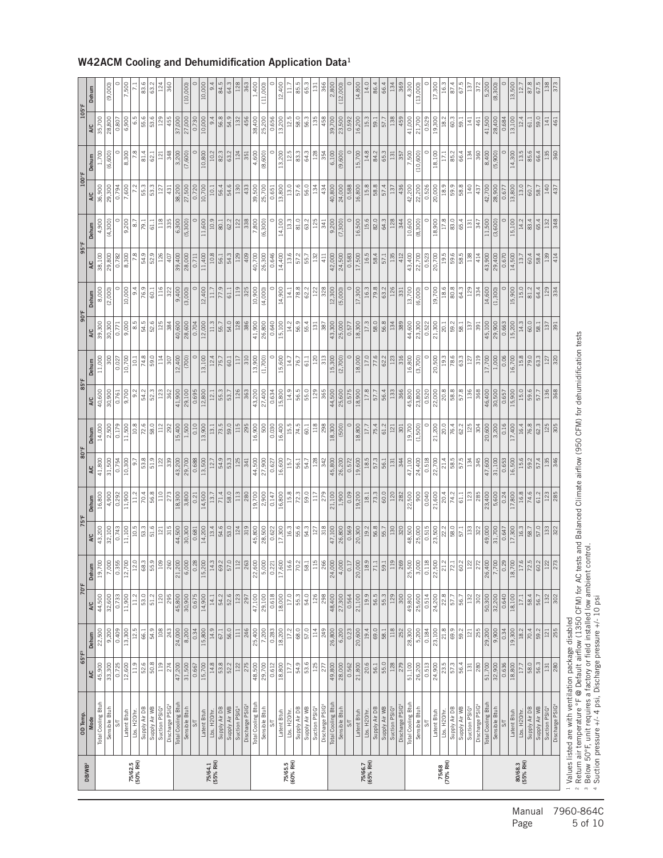| <b>DB/WB2</b>       | OD Temp.                                                                                                                                           | $65^{\circ}$ F <sup>3</sup> |                        | 70°F             |                    | 75°F                |                   | 80°F          |                          | 85°F             |                 | $90^{\circ}$ F   |                   | $95^{\circ}$ F |                  | 100°F         |                  | 105°F                   |                 |
|---------------------|----------------------------------------------------------------------------------------------------------------------------------------------------|-----------------------------|------------------------|------------------|--------------------|---------------------|-------------------|---------------|--------------------------|------------------|-----------------|------------------|-------------------|----------------|------------------|---------------|------------------|-------------------------|-----------------|
|                     | <b>Mode</b>                                                                                                                                        | A/C                         | Dehum                  | A/C              | Dehum              | A/C                 | Dehum             | A/C           | Dehum                    | A/C              | Dehum           | A/C              | Dehum             | A/C            | Dehum            | A/C           | Dehum            | A/C                     | Dehum           |
|                     | Total Cooling Btuh                                                                                                                                 | 45,900                      | 22,500                 | 44,500           | 19,700             | 43,200              | 16,800            | 41,800        | 14,000                   | 40,600           | 11,000          | 39,300           | 8,000             | 38,100         | 4,900            | 36,900        | 1,700            | 35,700                  |                 |
|                     | Sensible Btul                                                                                                                                      | 33,300                      | $\frac{9,200}{ }$      | 32,600           | 7,000              | 32,100              | 4,900             | 31,500        | 2,500                    | 30,900           | 300             | 30,300           | (2,000)           | 29,800         | (4,300)          | 29,300        | (6, 600)         | 28,800                  | (9,000)         |
|                     | 5                                                                                                                                                  | 0.725                       | 0.409                  | 0.733            | 0.355              | 0.743               | 0.292             | 0.754         | 0.179                    | 0.761            | 0.027           | 0.771            | $\circ$           | 0.782          | $\circ$          | 0.794         | $\circ$          | 0.807                   |                 |
|                     | Latent Btuh                                                                                                                                        | 12,600                      | 13,300                 | 11,900           | 12,700             | 11,100              | 11,900            | 10,300        | 11,500                   | 9,700            | 10,700          | 9,000            | 10,000            | 8,300          | 9,200            | 7,600         | 8,300            | 6,900                   | 7,500           |
| 75/62.5<br>(50% RH) | Lbs. H20/hr.                                                                                                                                       | 11.9                        | 12.5                   | 11.2             | 12.0               | 10.5                | 11.2              | 9.7           | 10.8                     | 9.2              | 10.1            | 8.5              | 9.4               | 7.8            | $\overline{8.7}$ | 7.2           | 7.8              | 6.5                     |                 |
|                     | Supply Air DB                                                                                                                                      | 52.8                        | 66.1                   | 53.0             | 68.3               | 53.3                | 70.4              | 53.8          | 72.6                     | 54.2             | 74.8            | 54.5             | 76.9              | 54.9           | 79.1             | 55.3          | 81.4             | 55.6                    | 83.6            |
|                     | Supply Air WB                                                                                                                                      |                             | 54.9                   | 51.2             | 55.9               | 51.6                | 56.8              | 51.9          | 58.0                     | 52.3             | 59.0            | 52.6             | 60.1              | 52.9           | 61.1             | 53.3          | 62.1             | 53.6                    | 63.2            |
|                     | Discharge PSIG<br>Suction PSIG4                                                                                                                    | 119<br>274                  | 108<br>243             | 120<br>295       | 260<br>109         | 315<br>121          | 110<br>273        | 339<br>122    | 112<br>292               | 362<br>123       | 114<br>307      | 125<br>384       | 116<br>322        | 126<br>407     | 118<br>335       | 127<br>431    | 348<br>121       | 129<br>455              | 124<br>360      |
|                     | Total Cooling Btuh                                                                                                                                 |                             | 24,000                 | 45,800           |                    | 44,500              | 18,300            | 43,200        | 15,400                   | 41,900           | 12,400          | 40,600           | 9,400             | 39,400         | 6,300            | 38,200        | 3,200            | 37,000                  |                 |
|                     |                                                                                                                                                    | 47,200                      |                        |                  | 21,200             |                     |                   |               |                          |                  |                 |                  |                   |                |                  | 27,500        |                  |                         |                 |
|                     | Sensible Btuh                                                                                                                                      | 31,500                      | 8,200                  | 30,900           | 6,000              | 30,300              | 3,800             | 29,700        | 1,500                    | 29,100           | (700)           | 28,600           | (3,000)           | 28,000         | (5,300)          |               | (7,600)          | 27,000                  | (10,000)        |
|                     | $5\frac{1}{2}$                                                                                                                                     | 0.667                       | 0.34                   | 0.675            | 0.28               | 0.681               | 0.21              | 0.688         | 0.10                     | 0.695            | $\circ$         | 0.704            | $\circ$           | 0.711          | $\circ$          | 0.720         | $\circ$          | 0.730                   |                 |
|                     | Latent Btuh                                                                                                                                        | 15,700                      | 15,800                 | 14,900           | 15,200             | 14,200              | 14,500            | 13,500        | 13,900                   | 12,800           | 13,100          | 12,000           | 12,400            | 11,400         | 11,600           | 10,700        | 10,800           | 10,000                  | 10,000          |
| 75/64.1<br>(55% RH) | Lbs. H20/hr.                                                                                                                                       | 14.8                        | 14.9                   | 14.1             | 14.3               | 13.4                | 13.7              | 12.7          | 13.1                     | 12.1             | 12.4            | 11.3             | 11.7              | 10.8           | 10.9             | 10.1          | 10.2             | 9.4                     | 9.4             |
|                     | Supply Air DB                                                                                                                                      | 53.8                        | 67.1                   | 54.2             | 69.2               | 54.6                | $\overline{71.4}$ | 34.9          | 73.5                     | 55.3             | 75.7            | 55.7             | 77.9              | 56.1           | 80.1             | 56.4          | 82.3             | 56.8                    | 84.5            |
|                     | Supply Air WB                                                                                                                                      | 52.2                        | 56.0                   | 52.6             | 57.                | 53.0                | 58.0              | 53.3          | 59.0                     | 53.7             | 60.1            | 54.0             | 61.1              | 54.3           | 62.2             | 54.6          | 63.2             | 54.9                    | 64.3            |
|                     | Suction PSIG                                                                                                                                       | 122                         | $111$                  | 123              | $\Xi$              | 124                 | 113               | 125           | 115                      | 126              | 117             | 128              | 119               | 129            | 122              | 130           | 124              | 132                     | 128             |
|                     | Discharge PSIG                                                                                                                                     | 275                         | 246                    | 297              | 263                | 319                 | 280               | 341           | 295                      | 363              | 310             | 386              | 325               | 409            | 338              | 433           | 351              | 456                     | 363             |
|                     |                                                                                                                                                    | 48,500                      |                        | 47,100           | 22,600             | 45,800<br>28,500    | 19,700            | 44,500        | $\frac{16,900}{500}$     | 43,200           | 13,900          | 41,900           | 10,900            | 40,700         | 7,800            | 39,500        | 4,600            |                         | 1,400           |
|                     | Total Cooling Btuh<br>Sensible Btuh                                                                                                                | 29,700                      | $\frac{25,400}{7,200}$ | 29,100           | 5,000              |                     | 2,900             | 27,900        |                          |                  | (1,700)         |                  | (4,000)           |                | (6, 300)         | 25,700        | (8,600)          | $\frac{38,400}{25,200}$ | (11,000)        |
|                     | $\overline{\mathcal{S}}$                                                                                                                           | 0.612                       | 0.283                  | 0.618            | 0.22               | 0.622               | 0.147             | 0.627         | 0.030                    | 0.634            | $\circ$         | 0.640            | $\circ$           | 0.646          | $\circ$          | 0.651         | $\circ$          | 0.656                   |                 |
|                     | Latent Btuh                                                                                                                                        | 18,800                      | 18,200                 | 18,000           | 17,600             | 17,300              | 16,800            | 16,600        | 16,400                   | 15,800           | 15,600          | 15,100           | 14,900            | 14,400         | 14,100           | 13,800        | 13,200           | 13,200                  | 12,400          |
| 75/65.5<br>(60% RH) | Lbs. H20/hr.                                                                                                                                       | 17.7                        | 17.2                   | 17.0             | 16.6               | 16.3                | 15.8              | 15.7          | 15.5                     | 14.9             | 14.7            | 14.2             | 14.1              | 13.6           | 13.3             | 13.0          | 12.5             | 12.5                    | Ξ               |
|                     | Supply Air DB                                                                                                                                      | 54.9                        | 68.0                   | 55.3             | 70.2               | 55.6                | 72.3              | 56.1          | 74.5                     | 56.5             | 76.7            | 56.9             | 78.8              | 57.2           | 81.0             | 57.6          | 83.3             | 58.0                    | 85              |
|                     | Supply Air WB                                                                                                                                      | 53.6                        | 57.0                   | 54.0             | 58.                | 54.3                | 59.0              | 54.7          | 60.1                     | 55.0             | 61.1            | 55.4             | 62.2              | 55.7           | 63.2             | 56.0          | 64.3             | 56.3                    | 65.3            |
|                     | Suction PSIG                                                                                                                                       | 125                         | 114                    | 126              | $\Xi$              | 127                 | 117               | 128           | 118                      | 129              | 120             | 131              | 122               | 132            | 125              | 134           | 128              | 135                     | $\overline{13}$ |
|                     | Discharge PSIG                                                                                                                                     | 277                         | 249                    | 298              | $\frac{8}{3}$      | 318                 | 279               | 342           | 298                      | 365              | 313             | 387              | 328               | 411            | 341              | 434           | 354              | 458                     | 366             |
|                     | Total Cooling Btuh                                                                                                                                 | 49,800                      | 26,800                 | 48,400           | 24,000             | 47,100              | 21,100            | 45,800        | 18,300                   | 44,500           | 15,300          | 43,300           | 12,300            | 42,000         | 9,200            | 40,800        | 6,100            | 39,700                  | 2,800           |
|                     | Sensible Btuh                                                                                                                                      | 28,000                      | 6,200                  | 27,300           | 4,000              | 26,800              | 1,900             | 26,200        | (500)                    | 25,600           | (2,700)         | 25,000           | (5,000)           | 24,500         | (7,300)          | 24,000        | (9,600)          | 23,500                  | (12,000)        |
|                     | S                                                                                                                                                  | 0.562                       |                        | 0.564            | $\overline{0.1}$   | 0.569               | 0.09              | 0.572         | $\circ$                  | 0.575            | $\ddot{\circ}$  | 0.577            | $\circ$           | 0.583          | $\circ$          | 0.588         | $\circ$          | 0.592                   |                 |
|                     | Latent Btuh                                                                                                                                        | 21,800                      | $\frac{0.23}{20,600}$  | 21,100           | 20,000             | 20,300              | 19,200            | 19,600        | 18,800                   | 18,900           | 18,000          | 18,300           | 17,300            | 17,500         | 16,500           | 16,800        | 15,700           | 16,200                  | 14,800          |
| 75/66.7<br>(65% RH) | Lbs. H20/hr.                                                                                                                                       | 20.6                        | 19.4                   | 19.9             | 18.                | 19.2                | $18.1\,$          | 18.5          | 17.7                     | 17.8             | 17.0            | 17.3             | 16.3              | 16.5           | 15.6             | 15.8          | 14.8             | 15.3                    | 14.0            |
|                     | Supply Air DB                                                                                                                                      | 56.1                        | 69.0                   | 56.5             | 71.                | 56.8                | $\frac{73.3}{ }$  | 57.3          | 75.4                     | 57.7             | 77.6            | 58.0             | 79.8              | 58.4           | 82.0             | 58.8          | 84.2             | 59.1                    | 86.4            |
|                     | Supply Air WB                                                                                                                                      | 55.0                        | 58.1                   | 55.3             | 59.                | 55.7                | 60.0              | 56.1          | 61.2                     | 56.4             | 62.2            | 56.8             | 63.2              | 57.1           | 64.3             | 57.4          | 65.3             | 57.7                    | 66.4            |
|                     | Suction PSIG                                                                                                                                       | 128                         | 118                    | 29               | $\Xi$              | 130                 | 120               | 131           | 121                      | 133              | 123             | 134              | 126               | 135            | 128              | 137           | $131\,$          | 138                     | 134             |
|                     | Discharge PSIG                                                                                                                                     | 279                         | 252                    | 300              | 269                | 320                 | 282               | 344           | 301                      | 366              | 316             | 389              | 331               | 412            | 344              | 436           | 357              | 459                     | 369             |
|                     | Total Cooling Btuh                                                                                                                                 | 51,100                      | 28,300                 | 49,800           | 25,500             | 48,500              | 22,500            | 47,100        | 19,700                   | 45,800           | 16,800          | 44,600           | 13,700            | 43,400         | 10,600           | 42,200        | 7,500            | 41,000                  | 4,300           |
|                     | Sensible Btuh                                                                                                                                      | 26,200                      | 5,200                  | 25,600           | 3,000              | 25,000              | 900               | 24,400        | (1,500)                  | 23,800           | (3,700)         | 23,300           | (6,000)           | 22,700         | (8,300)          | 22,200        | (10, 600)        | 21,700                  | (13,000)        |
|                     | $\mathbb{S}\mathbb{T}$                                                                                                                             | 0.513                       | 0.184                  | 0.514            | 0.118              | 0.515               | 0.040             | 0.518         | $\circ$                  | 0.520            | $\circ$         | 0.522            | $\circ$           | 0.523          | $\circ$          | 0.526         | $\circ$          | 0.529                   |                 |
|                     | Latent Btuh                                                                                                                                        | 24,900                      | 23,100                 | 24,200           | 22,500             | 23,500              | 21,600            | 22,700        | 21,200                   | 22,000           | 20,500          | 21,300           | 19,700            | 20,700         | 18,900           | 20,000        | 18,100           | 19,300                  | 17,300          |
| 75/68<br>(70% RH)   | Lbs. H20/hr.                                                                                                                                       | 23.5                        | 21.8                   | 22.8             | $\frac{1}{2}$      | 22.2                | 20.4              | 21.4          | 20.0                     | 20.8             | 19.3            | 20.1             | 18.6              | 19.5           | 17.8             | 18.9          | 17.1             | 18.2                    | 16.3            |
|                     | Supply Air DB                                                                                                                                      | 57.3                        | 69.9                   | 57.7             | 72.                | 58.0                | 74.2              | 58.5          | 76.4                     | 58.8             | 78.6            | 59.2             | 80.8              | 59.6           | 83.0             | 59.9          | 85.2             | 60.3                    | 87.4            |
|                     | Supply Air WB                                                                                                                                      | 56.4                        | 59.2                   | 56.7             | 60.7               | 57.1                | 61.1              | 57.5          | 62.2                     | 57.8             | 63.3            | 58.1             | 64.3              | 58.5           | 65.4             | 58.8          | 66.4             | 59.1                    | 67.5            |
|                     | Suction PSIG                                                                                                                                       | 131                         | 121                    | 132              | $\frac{1}{2}$      | 133                 | 123               | 134           | 125                      | 136              | 127             | 137              | 129               | 138            | 131              | 140           | 134              | 141                     | $\Xi$           |
|                     | Discharge PSIG                                                                                                                                     | 280                         | 255                    | 302              | 27.                | 322                 | 285<br>23,400     | 345<br>47,600 | 304<br>20,600            | 368              | 319             | 391              | 334               | 414<br>43,900  | 347<br>11,500    | 437<br>42,700 | 360              | 461<br>41,500           | 372<br>5,200    |
|                     | Total Cooling Btuh<br>Sensible Btuh                                                                                                                | 51,700<br>32,900            | 9,900<br>29,200        | 32,200<br>50,300 | 7,700<br>26,400    | 31,700<br>49,000    | 5,600             | 31,100        | 3,200                    | 30,500<br>46,400 | 17,700<br>1,000 | 45,100<br>29,900 | 14,600<br>(1,300) | 29,400         | (3,600)          | 28,900        | 8,400<br>(5,900) | 28,400                  | (8,300)         |
|                     | $S\Gamma$                                                                                                                                          | 0.636                       | 0.34                   | 0.640            | 0.29               | 0.647               | 0.24              | 0.653         | $\frac{16}{\frac{1}{2}}$ | 0.657            | 0.06            | 0.663            | $\circ$           | 0.670          | $\circ$          | 0.677         | $\circ$          | 0.684                   |                 |
|                     | Latent Btuh                                                                                                                                        | 18,800                      | 19,300                 | 18,100           | 18,700             | 17,300              | 17,800            | 16,500        | 17,400                   | 15,900           | 16,700          | 15,200           | 15,900            | 14,500         | 15,100           | 13,800        | 14,300           | 13,100                  | 13,500          |
| 80/68.3<br>(55% RH) | Lbs. H <sub>20/hr</sub>                                                                                                                            | 17.7                        | $18.2\,$               | 17.1             | 17.                |                     | 16.8              | 15.6          | 16.4                     | 15.0             | 15.8            | 14.3             | 15.0              | 13.7           | 14.2             | 13.0          | 13.5             | 12.4                    | 12.7            |
|                     | Supply Air DB                                                                                                                                      | 58.0                        | 70.4                   | 58.4             | 72.5               | $\frac{16.3}{58.7}$ | 74.6              | 59.2          | 76.8                     | 59.6             | 79.0            | 60.0             | 81.2              | 60.4           | 83.4             | 60.7          | 85.6             | 61.1                    | 87.8            |
|                     | Supply Air WB                                                                                                                                      | $\frac{56.3}{131}$          | 59.2                   | 56.7             | $\frac{60.2}{122}$ | 57.0                | 61.2              | 57.4          | 62.3                     | 57.7             | 63.3            | 58.1             | 64.4              | 58.4           | 65.4             | 58.7          | 66.4             | 59.0                    | 67.5            |
|                     | Suction PSIG4                                                                                                                                      |                             | 121                    | 132              |                    | <b>33</b>           | 123               | 135           | 125                      | 136              | 127             | 137              | 29                | 39             | 132              | 일             | 135              | 141                     | 138             |
|                     | Discharge PSIG                                                                                                                                     | 280                         | 255                    | 302              |                    | 322                 | 285               | 346           | 305                      | 368              | 320             | 391              | 334               | 414            | 348              | 437           | 360              | 461                     | 373             |
|                     | <sup>1</sup> Values listed are with ventilation package disabled                                                                                   |                             |                        |                  |                    |                     |                   |               |                          |                  |                 |                  |                   |                |                  |               |                  |                         |                 |
|                     | <sup>2</sup> Return air temperature °F @ Default airflow (1350 CFM) for AC tests and Balanced Climate airflow (950 CFM) for dehumidification tests |                             |                        |                  |                    |                     |                   |               |                          |                  |                 |                  |                   |                |                  |               |                  |                         |                 |
|                     | <sup>3</sup> Below 50°F, unit requires a factory or field installed low ambient control.                                                           |                             |                        |                  |                    |                     |                   |               |                          |                  |                 |                  |                   |                |                  |               |                  |                         |                 |
|                     | 4 Suction pressure +/- 4 psi, Discharge pressure +/- 10 psi                                                                                        |                             |                        |                  |                    |                     |                   |               |                          |                  |                 |                  |                   |                |                  |               |                  |                         |                 |

#### W42ACM Cooling and Dehumidification Application Data1

Manual 7960-864C<br>Page 5 of 10 5 of 10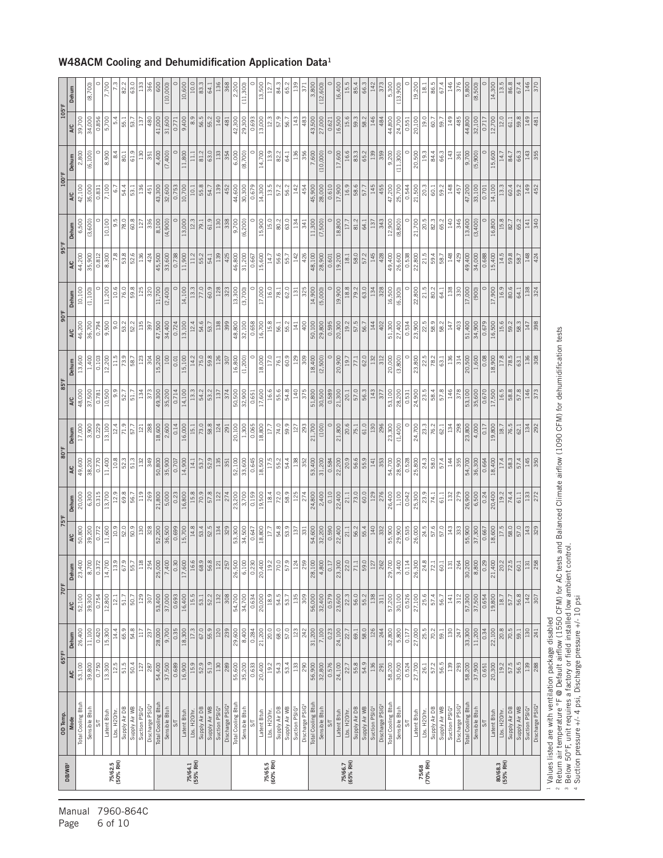| DB/WB <sup>2</sup>  | OD Temp.                                                                                                                                            | $65^{\circ}$ F <sup>3</sup> |                   |                 | 70°F                   | 75°F              |                | 80°F            |                   | $85^{\circ}$ F  |                | $90^{\circ}$ F    |                   | $95^{\circ}$ F  |                   | 100°F           |                   | $105^{\circ}$ F        |               |
|---------------------|-----------------------------------------------------------------------------------------------------------------------------------------------------|-----------------------------|-------------------|-----------------|------------------------|-------------------|----------------|-----------------|-------------------|-----------------|----------------|-------------------|-------------------|-----------------|-------------------|-----------------|-------------------|------------------------|---------------|
|                     | Mode                                                                                                                                                | A/C                         | Dehum             | A/C             | Dehum                  | <b>A/C</b>        | Dehum          | <b>A/C</b>      | Dehum             | <b>A/C</b>      | Dehum          | A/C               | Dehum             | <b>A/C</b>      | Dehum             | <b>A/C</b>      | Dehum             | <b>A/C</b>             | Dehum         |
|                     | Total Cooling Btuh                                                                                                                                  | 53,100                      | 26,400            | 52,100          | 23,400                 | 50,800            | 20,000         | 49,600          | 17,000            | 48,000          | 13,600         | 46,200            | 10,100            | 44,200          | 6,500             | 42,100          | 2,800             | 39,700                 |               |
|                     | Sensible Btuh                                                                                                                                       | 39,800                      | 11,100            | 39,300          | 8,700                  | 39,200            | 6,300          | 38,200          | 3,900             | 37,500          | 1,400          | 36,700            | (1, 100)          | 35,900          | (3,600)           | 35,000          | (6, 100)          | 34,000                 | (8,700)       |
|                     | $\overline{\mathcal{S}}$                                                                                                                            | 0.750                       | 0.420             | 0.754           | $\frac{0.372}{14,700}$ | 0.772             | 0.315          | 0.770           | 0.229             | 0.781           | 0.103          | 0.794             | $\circ$           | 0.812           | $\subset$         | 0.831           | $\circ$           | 0.856                  |               |
|                     | Latent Btuh                                                                                                                                         | 13,300                      | 15,300            | 12,800          |                        | 11,600            | 13,700         | 11,400          | 13,100            | 10,500          | 12,200         | 9,500             | 11,200            | 8,300           | 10,100            | 7,100           | 8,900             | 5,700                  | 7,700         |
| 75/62.5<br>(50% RH) | Lbs. H20/hr.                                                                                                                                        | 12.5                        | 14.4              | 12.1            | 13.9                   | 10.9              | 12.9           | 10.8            | 12.4              | 9.9             | 11.5           | 9.0               | 10.6              | 7.8             | 9.5               | 6.7             | 8.4               | 5.4                    |               |
|                     | Supply Air DB                                                                                                                                       | 51.5<br>50.4                | 65.9              | 50.7<br>51.7    | 67.9                   | 52.0<br>50.9      | 69.8           | 52.3            | 71.9<br>57.7      | 52.7            | 73.9<br>58.7   | 52.2<br>53.2      | 76.0<br>59.8      | 53.8<br>52.6    | 78.0              | 54.4<br>53.1    | 80.1              | 55.1                   | 82.2          |
|                     | Supply Air WB<br>Suction PSIG                                                                                                                       |                             | 54.8<br>$117\,$   | 129             | 55.                    | 130               | 119<br>56.7    | 51.3<br>132     | $121$             | 51.7<br>134     | 123            |                   | 125               | 136             | 60.8<br>127       | 136             | 61.9<br>130       | 53.7<br>137            | 63.0<br>133   |
|                     | Discharge PSIG                                                                                                                                      | $\frac{127}{287}$           | 237               | 307             | $\frac{118}{254}$      | 328               | 269            | 349             | 288               | 373             | 304            | $\frac{135}{397}$ | 320               | 424             | 336               | 451             | 351               | 480                    | 366           |
|                     | Total Cooling Btuh                                                                                                                                  | 54,400                      | 28,000            | 53,400          | 25,000                 |                   | 21,800         | 50,800          | 18,600            | 49,300          | 15,200         | 47,500            | 11,700            | 45,500          | 8,100             | 43,300          | 4,400             | 41,000                 | 600           |
|                     | Sensible Btuh                                                                                                                                       | 37,500                      | 9,700             | 37,000          | 7,400                  | 52,200            | 5,000          | 35,900          | 2,600             | 35,200          | 100            | 34,400            | (2,400)           | 33,600          | (4,900)           | 32,600          | (7,400)           | 31,600                 | (10,000)      |
|                     | $\overline{\mathcal{S}}$                                                                                                                            |                             |                   |                 |                        |                   |                |                 |                   |                 |                |                   |                   |                 |                   |                 |                   |                        |               |
|                     |                                                                                                                                                     | 0.689<br>16,900             | 0.35<br>18,300    | 0.693<br>16,400 | 0.30<br>17,600         | 0.699<br>15,700   | 0.23<br>16,800 | 14,900<br>0.707 | 0.14<br>16,000    | 0.714<br>14,100 | 15,100<br>0.01 | 0.724<br>13,100   | $\circ$<br>14,100 | 0.738<br>11,900 | $\circ$<br>13,000 | 0.753<br>10,700 | $\circ$<br>11,800 | 0.771                  | 10,600        |
| 75/64.1<br>(55% RH) | Lbs. H20/hr.<br>Latent Btuh                                                                                                                         | 15.9                        | 17.3              | 15.5            |                        | 14.8              | 15.8           | 14.1            | 15.1              | 13.3            | 14.2           | 12.4              | 13.3              | 11.2            | 12.3              | 10.1            | 11.1              | $\frac{9}{8}$<br>9,400 | 10.0          |
|                     |                                                                                                                                                     |                             |                   |                 | 16.6                   |                   |                |                 |                   |                 |                |                   |                   |                 |                   |                 |                   |                        |               |
|                     | Supply Air DB                                                                                                                                       | 52.9                        | 67.0              | 53.1            | 68.9                   | 53.4              | 70.9           | 53.7            | 73.0              | 54.2            | 75.0           | 54.6              | 77.0              | 55.2            | 79.1              | 55.8            | 81.2              | 56.5                   | 83.3          |
|                     | Supply Air WB                                                                                                                                       | 51.9                        | 55.9              | 52.2            | 56.8                   | 52.5              | 57.8           | 52.9            | 58.8              | 53.2            | 59.8           | 53.7              | 60.9              | 54.1            | 61.9              | 54.7            | 63.0              | 55.2                   | 64.1          |
|                     | Suction PSIG4                                                                                                                                       | 130                         | 120               | 132             | 121                    | 134               | 122            | 135             | 124               | 137             | 126            | 138               | 128               | 139             | 130               | 139             | 133               | 140                    | 136           |
|                     | Discharge PSIG                                                                                                                                      | 289                         | 239               | 308             | 25                     | 329               | 274            | 351             | 291               | 374             | 307            | 399               | 323               | 425             | 338               | 452             | 354               | 481                    | 368           |
|                     | Total Cooling Btuh                                                                                                                                  | 55,600                      | 29,600            | 54,700          | 26,500                 | 53,300<br>34,500  | 23,200         | 52,100          | 20,100            | 50,500          | 16,800         | 48,800            | 13,300            | 46,800          | 9,700             | 44,600          | 6,000             | 42,300                 | 2,200         |
|                     | Sensible Btuh                                                                                                                                       | 35,200                      | 8,400             | 34,700          | 6,100                  |                   | 3,700          | 33,600          | 1,300             | 32,900          | (1, 200)       | 32,100            | (3,700)           | 31,200          | (6, 200)          | 30,300          | (8,700)           | 29,300                 | (11,300)      |
|                     | $\overline{5}$                                                                                                                                      | 0.633                       | 0.284             | 0.634           | 0.230                  | 0.647             | 0.159          | 0.645           | 0.065             | 0.651           | $\circ$        | 0.658             | $\circ$           | 0.667           | $\circ$           | 0.679           | $\circ$           | 0.693                  |               |
|                     | Latent Btuh                                                                                                                                         | 20,400                      | 21,200            | 20,000          | 20,400                 | 18,800            | 19,500         | 18,500          | 18,800            | 17,600          | 18,000         | 16,700            | 17,000            | 15,600          | 15,900            | 14,300          | 14,700            | 13,000                 | 13,500        |
| 75/65.5<br>(60% RH) | Lbs. H20/hr.                                                                                                                                        | 19.2                        | 20.0              | 18.9            | 19.2                   | 17.7              | 18.4           | 17.5            | 17.7              | 16.6            | 17.0           | 15.8              | 16.0              | 14.7            | 15.0              | 13.5            | 13.9              | 12.3                   | $\frac{1}{2}$ |
|                     | Supply Air DB                                                                                                                                       | 54.3                        | 68.0              | 54.5            | 70.0                   | 54.8              | 72.0           | 55.2            | 74.0              | 55.6            | 76.1           | 56.1              | 78.1              | 56.6            | 80.2              | 57.2            | 82.2              | 57.9                   | 84.3          |
|                     | Supply Air WB                                                                                                                                       | 53.4                        | 57.0              | 53.7            | 57.9                   | 53.9              | 58.9           | 54.4            | 59.9              | 54.8            | 60.9           | 55.2              | 62.0              | 55.7            | 63.0              | 56.2            | 64.1              | 56.7                   | 65.2          |
|                     | Suction PSIG <sup>4</sup>                                                                                                                           |                             |                   | 135             | $\tilde{z}$            |                   | 125            | 138             |                   | 140             | 129            | 141               | 131               | 142             | 134               | 142             |                   | 143                    | 139           |
|                     | Discharge PSIG                                                                                                                                      | $\frac{133}{290}$           | $\frac{123}{242}$ | 309             | 25                     | $\frac{137}{331}$ | 274            | 352             | $\frac{127}{293}$ | 375             | $\frac{8}{30}$ | 400               | 325               | 426             | $\frac{341}{2}$   | 454             | $\frac{136}{356}$ | 483                    | $\frac{1}{2}$ |
|                     | Total Cooling Btuh                                                                                                                                  | 56,900                      | 31,200            | 56,000          | 28,100                 | 54,600            | 24,800         | 53,400          | 21,700            | 51,800          | 18,400         | 50,100            | 14,900            | 48,100          | 11,300            | 45,900          | 7,600             | 43,500                 | 3,800         |
|                     | Sensible Btuh                                                                                                                                       | 32,800                      | 7,100             | 32,400          | 4,800                  | 32,200            | 2,400          | 31,200          | $\frac{1}{2}$     | 30,500          | (2,500)        | 29,800            | (5,000)           | 28,900          | (7,500)           | 28,000          | (10,000)          | 27,000                 | (12,600)      |
|                     | $5\frac{1}{2}$                                                                                                                                      | 0.576                       | 0.23              | 0.579           | $rac{1}{2}$            | 0.590             | 0.10           | 0.584           | $\circ$           | 0.589           | $\circ$        | 0.595             | $\circ$           | 0.601           | $\circ$           | 0.610           | $\circ$           | 0.621                  |               |
|                     | Latent Btuh                                                                                                                                         | 24,100                      | 24,100            | 23,600          | 23,300                 | 22,400            | 22,400         | 22,200          | 21,800            | 21,300          | 20,900         | 20,300            | 19,900            | 19,200          | 18,800            | 17,900          | 17,600            | 16,500                 | 16,400        |
| 75/66.7<br>(65% RH) | Lbs. H <sub>20/hr</sub>                                                                                                                             | 22.7                        | 22.7              | 22.3            | 22.                    | 21.1              | 21.1           | 20.9            | 20.6              | 20.1            | 19.7           | 19.2              | 18.8              | 18.1            | 17.7              | 16.9            | 16.6              | 15.6                   | 15.5          |
|                     | Supply Air DB                                                                                                                                       | 55.8                        | 69.1              | 56.0            | 71.1                   | 56.2              | 73.0           | 56.6            | 75.1              | 57.0            | 77.1           | 57.5              | 79.2              | 58.0            | 81.2              | 58.6            | 83.3              | 59.3                   | 85.4          |
|                     | Supply Air WB                                                                                                                                       | 54.9                        | 58.0              | 55.2            | 59.                    | 55.4              | 60.0           | 55.9            | 61.0              | 56.3            | 62.0           | 56.7              | 63.0              | 57.2            | 64.1              | 57.7            | 65.2              | 58.2                   | 66.3          |
|                     | Suction PSIG                                                                                                                                        | 136                         | 126               | 138             | $\frac{1}{2}$          | 140               | 129            | 141             | 130               | 143             | 132            | 144               | 134               | 145             | 137               | 145             | 139               | 146                    | 142           |
|                     | Discharge PSIG                                                                                                                                      | $\sqrt{291}$                | 244               | 311             | 26                     | $\frac{33}{2}$    | 276            | 353             | 86                | 377             | 312            | 402               | $\frac{328}{3}$   | 428             | 343               | 455             | $\frac{1}{359}$   | 484                    | 373           |
|                     | Total Cooling Btuh                                                                                                                                  | 58,200                      | 32,800            | 57,200          | 29,700                 | 55,900            | 26,400         | 54,700          | 23,300            | 53,100          | 20,000         | 51,300            | 16,500            | 49,400          | 12,900            | 47,200          | 9,200             | 44,800                 | 5,300         |
|                     | Sensible Btuh                                                                                                                                       | 30,500                      | 5,800             | 30,100          | 3,400                  | 29,900            | 1,100          | 28,900          | (1,400)           | 28,200          | (3,800)        | 27,400            | (6, 300)          | 26,600          | (8,800)           | 25,700          | (11,300)          | 24,700                 | (13,900)      |
|                     | $5\frac{1}{2}$                                                                                                                                      | 0.524                       | 0.177             | 0.526           | 0.114                  | 0.535             | 0.042          | 0.528           | $\circ$           | 0.531           | $\circ$        | 0.534             | $\circ$           | 0.538           | $\circ$           | 0.544           | $\circ$           | 0.551                  |               |
|                     | Latent Btuh                                                                                                                                         | 27,700                      | 27,000            | 27,100          | 26,300                 | 26,000            | 25,300         | 25,800          | 24,700            | 24,900          | 23,800         | 23,900            | 22,800            | 22,800          | 21,700            | 21,500          | 20,500            | 20,100                 | 19,200        |
| 75/68<br>(70% RH)   | Lbs. H20/hr.                                                                                                                                        | 26.1                        | 25.5              | 25.6            | 24.8                   | 24.5              | 23.9           | 24.3            | 23.3              | 23.5            | 22.5           | 22.5              | 21.5              | 21.5            | 20.5              | 20.3            | 19.3              | 19.0                   | 18.1          |
|                     | Supply Air DB                                                                                                                                       | $57.2$<br>56.5              | 70.2              | 57.4            | $\overline{2}$ .       | 57.6              | 74.1           | 58.0            | $\frac{76.2}{ }$  | 58.4            | 78.2           | 58.9              | 80.2              | 59.4            | 82.3              | 60.1            | 84.4              | 60.7                   | 86.5          |
|                     | Supply Air WB                                                                                                                                       |                             | 59.1              | 56.7            | 60.                    | 57.0              | $61.1\,$       | 57.4            | 62.1              | 57.8            | 63.1           | 58.2              | 64.1              | 58.7            | 65.2              | 59.2            | 66.3              | 59.7                   | 67.4          |
|                     | Suction PSIG4                                                                                                                                       | 139                         | 130               | 141             | $\overline{13}$        | 143               | 132            | 144             | 134               | 146             | 136            | 147               | 138               | 148             | 140               | 148             | 143               | 149                    | 146           |
|                     | Discharge PSIG                                                                                                                                      | 293                         | 247               | 312             | 264                    | 333               | 279            | 355             | 298               | 378             | 314            | 403               | 330               | 429             | 346               | 457             | 361               | 485                    | 376           |
|                     | Total Cooling Btuh                                                                                                                                  | 58,200                      | 33,300            | 57,300          | 30,200                 | 55,900            | 26,900         | 54,700          | 23,800            | 53,100          | 20,500         | 51,400            | 17,000            | 49,400          | 13,400            | 47,200          | 9,700             | 44,800                 | 5,800         |
|                     | Sensible Btuh                                                                                                                                       | 37,900                      | 11,200            | 37,500          | 8,800                  | 37,300            | 6,500          | 36,300          | 4,000             | 35,600          | 1,600          | 34,900            | (900)             | 34,000          | (3,400)           | 33,100          | (5,900)           | 32,100                 | (8,500)       |
|                     | $5\frac{1}{2}$                                                                                                                                      | 0.651                       | 0.34              | 0.654           | 0.29                   | 0.667             | 0.24           | 0.664           | 0.17              | 0.670           | 0.08           | 0.679             | $\circ$           | 0.688           | $\circ$           | 0.701           | $\circ$           | 0.717                  |               |
|                     | Latent Btuh                                                                                                                                         | 20,300                      | 22,100            | 19,800          | 21,400                 | 18,600            | 20,400         | 18,400          | 19,800            | 17,500          | 18,900         | 16,500            | 17,900            | 15,400          | 16,800            | 14,100          | 15,600            | 12,700                 | 14,300        |
| 80/68.3<br>(55% RH) | Lbs. H20/hr.                                                                                                                                        | 19.2                        | 20.8              | 18.7            | 20.2                   | 17.5              | 19.2           | 17.4            | $18.7\,$          | 16.5            | 17.8           | 15.6              | 16.9              | 14.5            | 15.8              | 13.3            | 14.7              | 12.0                   | 13.5          |
|                     | Supply Air DB                                                                                                                                       | 57.5                        | 70.5              | 57.7            | 72.5                   | 58.0              | 74.4           | 58.3            | 76.5              | 58.8            | 78.5           | 59.2              | 80.6              | 59.8            | 82.7              | 60.4            | 84.7              | $61.1\,$               | 86.8          |
|                     | Supply Air WB                                                                                                                                       | 56.5                        | 59.1              | 56.8            | $\overline{60}$ .      | 57.0              | 61.1           | 57.4            | 62.1              | 57.8            | 63.1           | 58.3              | 64.1              | 58.7            | 65.2              | 59.2            | 66.3              | 59.8                   | 67.4          |
|                     | Suction PSIG <sup>4</sup>                                                                                                                           | 139                         | 130               | 142             | $\frac{13}{25}$        | 143               | 133            | 145             | 134               | 146             | 136            | 147               | 138               | 148             | 141               | 149             | 143               | 149                    | 146           |
|                     | Discharge PSIG                                                                                                                                      | 288                         | 241               | 307             |                        | 329               | 272            | 350             | 292               | 373             | 308            | 398               | 324               | 424             | 340               | 452             | 355               | 481                    | 370           |
|                     | <sup>1</sup> Values listed are with ventilation package disabled                                                                                    |                             |                   |                 |                        |                   |                |                 |                   |                 |                |                   |                   |                 |                   |                 |                   |                        |               |
|                     | <sup>2</sup> Return air temperature °F @ Default airflow (1550 CFM) for AC tests and Balanced Climate airflow (1090 CFM) for dehumidification tests |                             |                   |                 |                        |                   |                |                 |                   |                 |                |                   |                   |                 |                   |                 |                   |                        |               |
|                     | <sup>3</sup> Below 50°F, unit requires a factory or field installed low ambient control.                                                            |                             |                   |                 |                        |                   |                |                 |                   |                 |                |                   |                   |                 |                   |                 |                   |                        |               |
|                     | Suction pressure +/- 4 psi, Discharge pressure +/- 10 psi                                                                                           |                             |                   |                 |                        |                   |                |                 |                   |                 |                |                   |                   |                 |                   |                 |                   |                        |               |

#### W48ACM Cooling and Dehumidification Application Data1

Manual 7960-864C<br>Page 6 of 10 6 of 10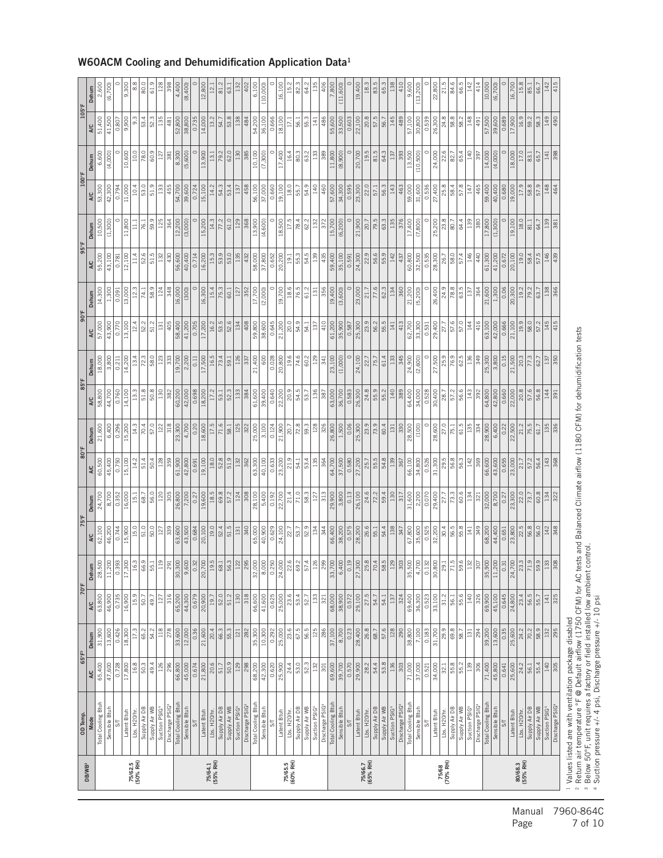| <b>DB/WB</b>        | OD Temp.                                                                                                                                                                                                                | $65^{\circ}$ F <sup>3</sup> |                        |                   | 70°F                                   | 75°F                 |                             | 80°F             |                        | 85°F             |                  | 90°F                    |                 | 95°F             |                   | 100°F            |                                | 105°F            |                  |
|---------------------|-------------------------------------------------------------------------------------------------------------------------------------------------------------------------------------------------------------------------|-----------------------------|------------------------|-------------------|----------------------------------------|----------------------|-----------------------------|------------------|------------------------|------------------|------------------|-------------------------|-----------------|------------------|-------------------|------------------|--------------------------------|------------------|------------------|
|                     | Mode                                                                                                                                                                                                                    | A/C                         | Dehum                  | A/C               | Dehum                                  | A/C                  | Dehum                       | A/C              | Dehum                  | A/C              | Dehum            | A/C                     | Dehum           | A/C              | Dehum             | A/C              | Dehum                          | A/C              | Dehum            |
|                     | Total Cooling Btuh<br>Sensible Btuh                                                                                                                                                                                     | 65,400<br>47,600            | 31,900<br>13,600       | 63,800<br>46,900  | 28,500<br>11,200                       | 62,100<br>46,200     | 24,700<br>$\frac{1}{8,700}$ | 60,500<br>45,400 | 6,400<br>21,600        | 58,800<br>44,700 | 18,000<br>3,800  | 57,000<br>43,900        | 14,300<br>1,300 | 55,200<br>43,100 | 10,500<br>(1,300) | 53,300<br>42,300 | 6,600<br>(4,000)               | 51,400<br>41,500 | 2,600<br>(6,700) |
|                     | $\overline{5}$                                                                                                                                                                                                          | 0.728                       | 0.426                  | 0.735             | 0.393                                  | 0.744                | 0.352                       | 0.750            | 0.296                  | 0.760            | 0.211            | 0.770                   | 0.091           | 0.781            | $\circ$           | 0.794            | $\circ$                        | 0.807            |                  |
|                     | Latent Btuh                                                                                                                                                                                                             | 17,800                      | 18,300                 | 16,900            | 17,300                                 | 15,900               | 16,000                      | 15,100           | 15,200                 | 14,100           | 14,200           | 13,100                  | 13,000          | 12,100           | 11,800            | 11,000           | 10,600                         | 9,900            | 9,300            |
| 75/62.5<br>(50% RH) | Lbs. H20/hr                                                                                                                                                                                                             | 16.8                        | 17.3                   | 15.9              | 16.3                                   | 15.0                 | 15.1                        | 14.2             | 14.3                   | 13.3             | 13.4             | 12.4                    | 12.3            | 11.4             | 11.1              | 10.4             | 10.0                           | 9.3              | $\frac{8}{3}$    |
|                     | Supply Air DB                                                                                                                                                                                                           | 50.3                        | 65.2                   | 50.7              | 66.9                                   | 51.0                 | 68.7                        | 51.4             | 70.4                   | 51.8             | 72.3             | 52.2                    | 74.1            | 52.6             | 76.1              | 53.0             | 78.0                           | 53.4             | 80.0             |
|                     | Supply Air WB                                                                                                                                                                                                           | 49.4                        | 54.2                   | 49.7              | 55.                                    | 50.0                 | 56.0                        | 50.4             | 57.0                   | 50.8             | 58.0             | 51.2                    | 58.9            | 51.5             | 59.9              | 51.9             | 60.9                           | 52.3             | 61.9             |
|                     | Discharge PSIG<br>Suction PSIG                                                                                                                                                                                          | 126<br>86                   | 118<br>278             | 316<br>127        | Ē<br>$\overline{3}$                    | $\frac{8}{3}$<br>127 | 120<br>$\frac{5}{305}$      | 128<br>359       | $\frac{8}{3}$<br>122   | 130<br>382       | 123<br>333       | 405<br>131              | 124<br>348      | 430<br>132       | 125<br>364        | 133<br>455       | $\overline{\mathbf{a}}$<br>127 | 135<br>481       | 128<br>398       |
|                     | Total Cooling Btuh                                                                                                                                                                                                      | 66,800                      | 33,600                 | 65,200            | 30,300                                 | 63,600               | 26,800                      | 61,900           | 23,300                 | 60,200           | 19,700           | 58,400                  | 16,000          | 56,600           | 12,200            | 54,700           | 8,300                          | 52,800           | 4,400            |
|                     | Sensible Btu                                                                                                                                                                                                            | 45,000                      | 12,000                 | 44,300            | $\frac{9,600}{ }$                      | 43,500               | 7,200                       | 42,800           | 4,700                  | 42,000           | 2,200            | 41,200                  | (300)           | 40,400           | (3,000)           | 39,600           | (5,600)                        | 38,800           | (8,400)          |
|                     | $\overline{5}$                                                                                                                                                                                                          | 0.674                       | 0.36                   | 0.679             | 0.32                                   | 0.684                | 0.27                        | 0.691            | 0.20                   | 0.698            | 0.11             | 0.705                   | $\circ$         | 0.714            | $\circ$           | 0.724            | $\circ$                        | 0.735            |                  |
|                     | Latent Btuh                                                                                                                                                                                                             | 21,800                      | 21,600                 | 20,900            | 20,700                                 | 20,100               | 19,600                      | 19,100           | 18,600                 | 18,200           | 17,500           | 17,200                  | 16,300          | 16,200           | 15,200            | 15,100           | 13,900                         | 14,000           | 12,800           |
| 75/64.1<br>(55% RH) | Lbs. H <sub>20/hr</sub>                                                                                                                                                                                                 | 20.6                        | 20.4                   | 19.7              | 19.5                                   | 19.0                 | 18.5                        | 18.0             | 17.5                   | 17.2             | 16.5             | 16.2                    | 15.4            | 15.3             | 14.3              | 14.2             | 13.1                           | 13.2             | 12.1             |
|                     | Supply Air DB                                                                                                                                                                                                           | 51.7                        | 66.3                   | 52.0              | $ \vec{8} $                            | 52.4                 | 69.8                        | 52.8             | 71.6                   | 53.1             | 73.4             | 53.5                    | 75.3            | 53.9             | 77.2              | 54.3             | 79.2                           | 54.7             | 81.2             |
|                     | Supply Air WB                                                                                                                                                                                                           | 50.9                        | 55.3                   | 51.2              | 56.3                                   | 51.5                 | 57.2                        | 51.9             | 58.1                   | 52.3             | 59.1             | 52.6                    | 60.1            | 53.0             | 61.0              | 53.4             | 62.0                           | 53.8             | 63.1             |
|                     | Suction PSIG                                                                                                                                                                                                            | 129                         | $121\,$                | 130               | 12i                                    | 131                  | 124                         | 132              | 125                    | 133              | 126              | 134                     | 127             | 135              | 129               | 137              | 130                            | 138              | 132              |
|                     | Discharge PSIG                                                                                                                                                                                                          | 298                         | 282                    | 318               | 295                                    | 340                  | 308                         | 362              | 322                    | 384              | 337              | 408                     | 352             | 432              | 368               | 458              | 385                            | 484              | 402              |
|                     | Total Cooling Btuh                                                                                                                                                                                                      | 68,200                      | 35,300                 | 66,600            | 32,000                                 | 65,000               | 28,100                      | 63,300           | 25,000                 | 61,600           | 21,400           | 59,800                  | 17,700          | 58,000           | 13,900            | 56,100           | 10,100                         | 54,200           | 6,100            |
|                     | Sensible Btuh                                                                                                                                                                                                           | 42,300                      | 10,300                 | 41,600            | 8,000                                  | 40,900               | 5,400                       | 40,100           | 3,100                  | 39,400           | 600              | 38,600                  | (2,000)         | 37,800           | (4,600)           | 37,000           | (7,300)                        | 36,100           | (10,000)         |
|                     | $\overline{S}$                                                                                                                                                                                                          | 0.620                       | 0.292                  | 0.625             | 0.250                                  | 0.629                | 0.192                       | 0.633            | 0.124                  | 0.640            | 0.028            | 0.645                   | $\circ$         | 0.652            | $\circ$           | 0.660            | $\circ$                        | 0.666            |                  |
|                     | Latent Btuh                                                                                                                                                                                                             | 25,900                      | 25,000                 | 25,000            | 24,000                                 | 24,100               | 22,700                      | 23,200           | 21,900                 | 22,200           | 20,800           | 21,200                  | 19,700          | 20,200           | 18,500            | 19,100           | 17,400                         | 18,100           | 16,100           |
| 75/65.5<br>(60% RH) | Lbs. H <sub>20/hr</sub>                                                                                                                                                                                                 | 24.4                        | 23.6                   | 23.6              | 22.                                    | 22.7                 | 21.4                        | 21.9             | 20.7                   | 20.9             | 19.6             | 20.0                    | 18.6            | 19.1             | 17.5              | 18.0             | 16.4                           | 17.1             | 15.2             |
|                     | Supply Air DB                                                                                                                                                                                                           | 53.0                        | 67.5                   | 53.4              | 69.                                    | 53.7                 | 71.0                        | 54.1             | 72.8                   | 54.5             | 74.6             | 54.9                    | 76.5            | 55.3             | 78.4              | 55.7             | 80.3                           | 56.1             | 89.              |
|                     | Supply Air WB                                                                                                                                                                                                           | 52.3                        | 56.5                   | 52.7              | 57.                                    | 52.9                 | 58.3                        | 53.4             | 59.3                   | 53.7             | 60.2             | 54.1                    | 61.2            | 54.5             | 62.2              | 54.9             | 63.2                           | 55.3             | 64.2             |
|                     | Suction PSIG                                                                                                                                                                                                            | 132                         | 125                    | 133               | ្ម                                     | 134                  | 127                         | 135              | 128                    | 136              | 129              | 137                     | 131             | 139              | 132               | 140              | 133                            | 141              | 135              |
|                     | Discharge PSIG                                                                                                                                                                                                          | 301                         | 286                    | 321               | 299                                    | 344                  | 313                         | 364              | 326                    | 387              | 341              | 410                     | 356             | 435              | 372               | 460              | 389                            | 486              | 406              |
|                     | Total Cooling Btuh                                                                                                                                                                                                      | 69,600                      | $\frac{37,100}{8,700}$ | 68,000            | 33,700                                 | 66,400               | 29,900                      | 64,700           | $\frac{26,800}{1,500}$ | 63,000           | 23,100           | $\frac{61,200}{35,900}$ | 19,400          | 59,400           | 15,700            | 57,600           | 11,800                         | 55,600<br>33,500 | 7,800            |
|                     | Sensible Btuh                                                                                                                                                                                                           | 39,700                      |                        | 38,900            | 6,400                                  | 38,200               | 3,800                       | 37,500           |                        | 36,700           | (1,000)          |                         | (3,600)         | 35,100           | (6, 200)          | 34,300           | (8,900)                        |                  | (11,600)         |
|                     | $S\Gamma$                                                                                                                                                                                                               | 0.570                       | 0.23                   | 0.572             | 0.19                                   | 0.575                | 0.13                        | 0.580            | 0.06                   | 0.583            | $\circ$          | 0.587                   | $\circ$         | 0.591            | $\circ$           | 0.595            | $\circ$                        | 0.603            |                  |
|                     | Latent Btuh                                                                                                                                                                                                             | 29,900                      | 28,400                 | 29,100            | 27,300                                 | 28,200               | 26,100                      | 27,200<br>25.7   | 25,300                 | 26,300           | 24,100           | 25,300                  | 23,000          | 24,300           | 21,900            | 23,300           | 20,700                         | 22,100           | 19,400           |
| 75/66.7<br>(65% RH) | Lbs. H <sub>20/hr</sub>                                                                                                                                                                                                 | 28.2                        | 26.8                   | 27.5              | 25.8                                   | 26.6                 | 24.6                        |                  | 23.9                   | 24.8             | 22.7             | 23.9                    | 21.7            | 22.9             | 20.7              | 22.0             | 19.5                           | 20.8             | 18.3             |
|                     | Supply Air DB                                                                                                                                                                                                           | 54.4                        | 68.7                   | 54.7              | $\overline{20}$                        | 55.1                 | 72.2                        | 55.5             | 73.9                   | 55.9             | 75.7             | 56.2                    | 77.6            | 56.6             | 79.5              | 57.1             | 81.5                           | 57.5             | 83.5             |
|                     | Supply Air WB                                                                                                                                                                                                           | 53.8                        | 57.6                   | 54.1              | 58.                                    | 54.4                 | 59.4                        | 54.8             | 60.4                   | 55.2             | 61.4             | 55.5<br>141             | 62.3            | 55.9             | 63.3              | 56.3             | 64.3                           | 56.7             | 65.3             |
|                     | Discharge PSIG<br>Suction PSIG                                                                                                                                                                                          | 303<br>136                  | 128<br>290             | 324<br>137        | $\tilde{\mathbb{Z}}$<br>$\frac{30}{3}$ | 138<br>347           | 130<br>317                  | 139<br>367       | 330<br>131             | 389<br>140       | 345<br>133       | 413                     | 360<br>134      | 142<br>437       | 376<br>135        | 463<br>143       | 393<br>137                     | 489<br>145       | 410<br>138       |
|                     | Total Cooling Btuh                                                                                                                                                                                                      | 71,000                      | 38,800                 | 69,400            | 35,500                                 | 67,800               | 31,600                      | 66,100           | 28,500                 | 64,400           | 24,900           | 62,700                  | 21,200          | 60,800           | 17,400            | 59,000           | 13,500                         | 57,100           | 9,600            |
|                     | Sensible Btuh                                                                                                                                                                                                           | 37,000                      | 7,100                  | 36,300            | 4,700                                  | 35,600               | 2,200                       | 34,800           | (100)                  | 34,000           | (2,600)          | 33,300                  | (5, 200)        | 32,500           | (7,800)           | 31,600           | (10, 500)                      | 30,800           | (13, 200)        |
|                     | $\overline{\mathsf{S}}$                                                                                                                                                                                                 | 0.521                       | 0.183                  | 0.523             | 0.132                                  | 0.525                | 0.070                       | 0.526            | $\circ$                | 0.528            | $\circ$          | 0.531                   | $\circ$         | 0.535            | $\circ$           | 0.536            | $\circ$                        | 0.539            |                  |
|                     | Latent Btuh                                                                                                                                                                                                             | 34,000                      | 31,700                 | 33,100            | 30,800                                 | 32,200               | 29,400                      | 31,300           | 28,600                 | 30,400           | 27,500           | 29,400                  | 26,400          | 28,300           | 25,200            | 27,400           | 24,000                         | 26,300           | 22,800           |
| 75/68<br>(70% RH)   | Lbs. H20/hr                                                                                                                                                                                                             | 32.1                        | 29.9                   | 31.2              | 29.                                    | 30.4                 | 27.7                        | 29.5             | 27.0                   | 28.7             | 25.9             | 27.7                    | 24.9            | 26.7             | 23.8              | 25.8             | 22.6                           | 24.8             | 21.5             |
|                     | Supply Air DB                                                                                                                                                                                                           | 55.8                        | 69.8                   | $\overline{56.1}$ | $\frac{1}{2}$                          | 56.5                 | 73.3                        | 56.8             | $\sqrt{75.1}$          | 57.2             | <b>P6.9</b>      | 57.6                    | <b>78.8</b>     | $\frac{6}{38}$   | $\sqrt{80.7}$     | 58.4             | 82.7                           | 58.8             | 84.6             |
|                     | Supply Air WB                                                                                                                                                                                                           | 55.2                        | 58.7                   | 55.6              | 59.                                    | 55.8                 | 60.6                        | 56.3             | 61.5                   | 56.6             | 62.5             | 57.0                    | 63.5            | 57.4             | 64.4              | 57.8             | 65.4                           | 58.2             | 66.5             |
|                     | Suction PSIG                                                                                                                                                                                                            | <b>PET</b>                  | $\overline{131}$       | 140               | ğ                                      | 141                  | 134                         | 142              | 135                    | 143              | 136              | 144                     | 137             | 146              | 139               | 147              | 140                            | 148              | 142              |
|                     | Total Cooling Btuh<br>Discharge PSIG                                                                                                                                                                                    | 306<br>71,400               | 294<br>39,200          | 326<br>69,900     | 35,900<br>$\frac{1}{30}$               | 349<br>68,200        | 32,000<br>321               | 369<br>66,600    | 334<br>28,900          | 392<br>64,800    | 349<br>25,300    | 416<br>63,100           | 364<br>21,600   | 440<br>61,300    | 380<br>17,800     | 465<br>59,400    | 397<br>14,000                  | 491<br>57,500    | 414<br>10,000    |
|                     | Sensible Btuh                                                                                                                                                                                                           | 45,800                      | 13,600                 | 45,100            | 11,200                                 | 44,400               | 8,700                       | 43,600           | 6,400                  | 42,800           | 3,800            | 42,000                  | 1,300           | 41,200           | (1,300)           | 40,400           | (4,000)                        | 39,600           | (6,700)          |
|                     | $S$ T                                                                                                                                                                                                                   | 0.641                       | 0.35                   | 0.645             | $0.\overline{3}$                       | 0.651                | 0.27                        | 0.655            | 0.22                   | 0.660            | 0.15             | 0.666                   | 0.06            | 0.672            | $\circ$           | 0.680            | $\circ$                        | 0.689            |                  |
|                     | Latent Btuh                                                                                                                                                                                                             | 25,600                      | 25,600                 | 24,800            | 24,700                                 | 23,800               | 23,300                      | 23,000           | 22,500                 | 22,000           | 21,500           | 21,100                  | 20,300          | 20,100           | 19,100            | 19,000           | 18,000                         | 17,900           | 16,700           |
| 80/68.3<br>(55% RH) | Lbs. H20/hr.                                                                                                                                                                                                            | 24.2                        | 24.2                   | 23.4              |                                        | $22.5$<br>$56.8$     | $\frac{22.0}{73.7}$         | 21.7             | 21.2                   | 20.8             | 20.3             | 19.9                    | 19.2            | 19.0             | 18.0              | 17.9             | 17.0                           | 16.9             | 15.8             |
|                     | Supply Air DB                                                                                                                                                                                                           | 56.1                        | $\sqrt{70.2}$          | 56.5              | $\frac{23.3}{71.9}$                    |                      |                             | 57.2             | 75.5                   | 57.6             | $\frac{77.3}{ }$ | 58.0                    | 79.2            | 58.4             | 81.1              | 58.8             | 83.1                           | 59.2             | 85.1             |
|                     | Supply Air WB                                                                                                                                                                                                           | 55.4                        | 58.9                   | 55.7              | 59.                                    | 56.0                 | 60.8                        | 56.4             | 61.7                   | 56.8             | 62.7             | 57.2                    | 63.7            | 57.5             | 64.7              | 57.9             | 65.7                           | 58.3             | 66.7             |
|                     | Suction PSIG                                                                                                                                                                                                            | 140                         | 32                     | 三                 | 133                                    | 142                  | 134                         | 143              | 135                    | 144              | $\frac{137}{2}$  | 145                     | 138             | 146              | 39                | 148              | $\frac{1}{41}$                 | <b>g</b>         | 142              |
|                     | Discharge PSIG                                                                                                                                                                                                          | 305                         | 295                    | 325               | $\frac{8}{308}$                        | 348                  | 322                         | 368              | 336                    | 391              | 350              | 415                     | 366             | 439              | 381               | 464              | 398                            | 490              | 415              |
|                     | <sup>2</sup> Return air temperature °F @ Default airflow (1750 CFM) for AC tests and Balanced Climate airflow (1180 CFM) for dehumidification tests<br><sup>1</sup> Values listed are with ventilation package disabled |                             |                        |                   |                                        |                      |                             |                  |                        |                  |                  |                         |                 |                  |                   |                  |                                |                  |                  |
|                     | <sup>3</sup> Below 50°F, unit requires a factory or field installed low ambient control.                                                                                                                                |                             |                        |                   |                                        |                      |                             |                  |                        |                  |                  |                         |                 |                  |                   |                  |                                |                  |                  |
|                     | 4 Suction pressure +/- 4 psi, Discharge pressure +/- 10 psi                                                                                                                                                             |                             |                        |                   |                                        |                      |                             |                  |                        |                  |                  |                         |                 |                  |                   |                  |                                |                  |                  |

#### W60ACM Cooling and Dehumidification Application Data1

Manual 7960-864C<br>Page 7 of 10 7 of 10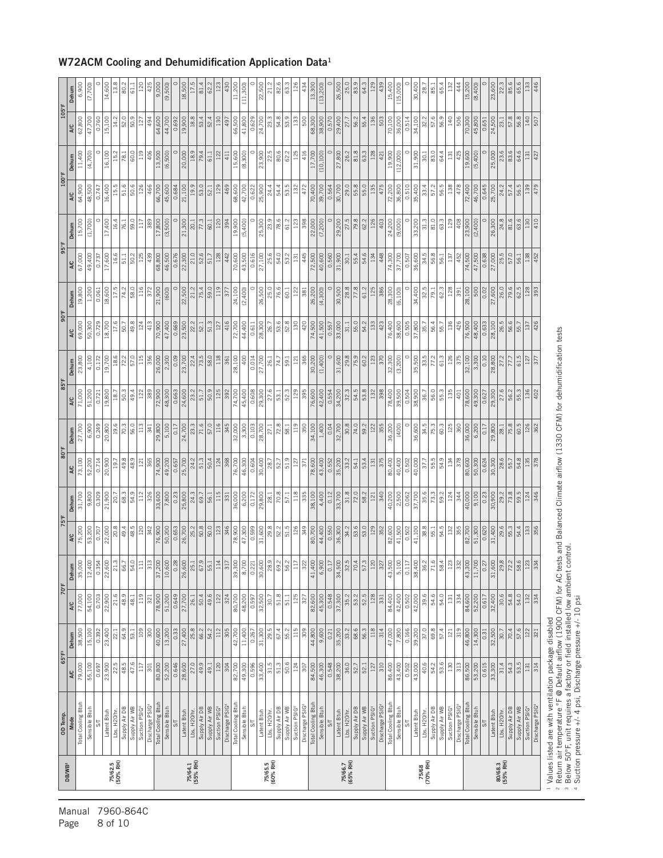| <b>DB/WB<sup>2</sup></b> | OD Temp.                                   |                | $65^{\circ}$ F <sup>3</sup> | 70°F           |                           | 75°F           |               | 80°F          |               | 85°F           |               | 90°F          |                        | 95°F          |                          | 100°F         |               | $105^{\circ}$ F |                   |
|--------------------------|--------------------------------------------|----------------|-----------------------------|----------------|---------------------------|----------------|---------------|---------------|---------------|----------------|---------------|---------------|------------------------|---------------|--------------------------|---------------|---------------|-----------------|-------------------|
|                          | <b>Mode</b>                                | <b>A/C</b>     | Dehum                       | <b>A/C</b>     | Dehum                     | <b>A/C</b>     | Dehum         | <b>A/C</b>    | Dehum         | A/C            | Dehum         | <b>A/C</b>    | Dehum                  | <b>A/C</b>    | Dehum                    | <b>AC</b>     | Dehum         | <b>AC</b>       | Dehum             |
|                          | Total Cooling Btuh                         | 79,000         | 38,500                      | 77,000         | 35,000                    | 75,200         | 31,700        | 73,100        | 27,700        | 71,000         | 23,800        | 69,000        | 19,800                 | 67,000        | 15,700                   | 64,900        | 11,400        | 62,800          | 6,900             |
|                          | Sensible Btuh                              | 55,100         | 15,100                      | 54,100         | 12,400                    | 53,200         | 9,800         | 52,200        | 6,900         | 51,200         | 4,100         | 50,300        | 1,200                  | 49,400        | (1,700)                  | 48,500        | (4,700)       | 47,700          | (7,700)           |
|                          | SΤ                                         | 0.697          | 0.392                       | 0.703          | $0.35^{\circ}$            | 0.707          | 0.309         | 0.714         | 0.249         | 0.721          | 0.172         | 0.729         | 0.061                  | 0.737         |                          | 0.747         |               | 0.760           |                   |
|                          | Latent Btuh                                | 23,900         | 23,400                      | 22,900         | 22,600                    | 22,000         | 21,900        | 20,900        | 20,800        | 19,800         | 19,700        | 18,700        | 18,600                 | 17,600        | 17,400                   | 16,400        | 16,100        | 15,100          | 14,600            |
| 75/62.5<br>(50% RH)      | Lbs. H20/hr                                | 22.5           | <b>22.1</b>                 | 21.6           | $\vec{a}$                 | 20.8           | 20.           | <u>oj</u>     | 19.6          | $\frac{8}{18}$ | 18.6          |               |                        | 16.6          | 16.4                     |               | 15.2          | 14.2            | 13.               |
|                          | Supply Air DB                              | 48.5           | 64.9                        | 48.9           | 66                        | 49.4           | 68.3          | 49.8          | 70.3          | 50.3           | 72.2          | 50.7          | 74.2                   | 51.1          | 76.1                     | 51.6          | 78.1          | 52.0            | 80.2              |
|                          | Supply Air WB<br>Suction PSIG <sup>4</sup> | 47.6<br>117    | 109<br>53.1                 | 119<br>48.1    | 54.<br>Ħ                  | 48.5<br>120    | 54.9          | 48.9<br>121   | 56.0<br>113   | 49.4<br>122    | 57.0<br>115   | 49.8<br>124   | 58.0<br>$\frac{1}{16}$ | 50.2<br>125   | 59.0<br>$\overline{117}$ | 50.6<br>126   | 60.0<br>119   | 50.9<br>127     | $\overline{61}$ . |
|                          | Discharge PSIG                             | 301            | 300                         | $\overline{3}$ | $\frac{1}{3}$             | 342            | 326           | 365           | 341           | 389            | 356           | 413           | 372                    | 439           | 389                      | 466           | 406           | 494             | 425               |
|                          | Total Cooling Btuh                         | 80,800         | 40,600                      | 78,900         | 37,200                    | 76,900         | 33,600        | 74,900        | 29,800        | 72,900         | 26,000        | 70,900        | 21,900                 | 68,800        | 17,800                   | 66,700        | 13,500        | 64,600          | 9,000             |
|                          | Sensible Btuh                              | 52,200         | 13,200                      | 51,200         | 10,600                    | 50,200         | 7,800         | 49,200        | 5,100         | 48,300         | 2,300         | 47,400        | (600)                  | 46,500        | (3,500)                  | 45,600        | (6,500)       | 44,700          | (9,500)           |
|                          | $\overline{\mathcal{S}}$                   | 0.646          | 0.33                        | 0.649          | $\frac{28}{3}$            | 0.653          | 0.23          | 0.657         | 0.17          | 0.663          | 0.09          | 0.669         |                        | 0.676         |                          | 0.684         |               | 0.692           |                   |
|                          | Latent Btuh                                | 28,600         | 27,400                      | 27,700         | 26,600                    | 26,700         | 25,800        | 25,700        | 24,700        | 24,600         | 23,700        | 23,500        | 22,500                 | 22,300        | 21,300                   | 21,100        | 20,000        | 19,900          | 18,500            |
| 75/64.1<br>(55% RH)      | Lbs. H20/hr.                               | 27.0           | 25.8                        | 26.1           | 25.                       | 25.2           | 24.3          | 24.2          | 23.3          | 23.2           | 22.4          | 22.2          | 21.2                   | 21.0          | 20.1                     | 19.9          | 18.9          | 18.8            | 17.               |
|                          | Supply Air DB                              | 49.9           | 66.2                        | 50.4           | 67.9                      | 50.8           | 69.7          | 51.3          | 71.6          | 51.7           | 73.5          | 52.1          | 75.4                   | 52.6          | 77.3                     | 53.0          | 79.4          | 53.4            | 81.4              |
|                          | Supply Air WB                              | 49.1           | 54.2                        | 49.6           | 55.1                      | $\frac{50}{6}$ | 56.1          | 50.4          | 57.0          | 50.9           | 58.0          | 51.3          | 59.0                   | 51.7          | 60.1                     | 52.1          | 61.1          | 52.4            | 29                |
|                          | Suction PSIG                               | 120            | 112                         | 122            | $\frac{1}{2}$             | 123            | 115           | 124           | 116           | 125            | 118           | 127           | 119                    | 128           | 120                      | 129           | 122           | 130             |                   |
|                          | Discharge PSIG                             | 304            | 305                         | 324            | $\overline{31}$           | 346            | 331           | 368           | 345           | 392            | 361           | 416           | 377                    | 442           | 394                      | 469           | 411           | 497             | 430               |
|                          | Total Cooling Btuh                         | 82,700         | 42,700                      | 80,700         | 39,300                    | 78,900         | 36,000        | 76,700        | 32,000        | 74,700         | 28,100        | 72,700        | 24,100                 | 70,600        | 19,900                   | 68,600        | 15,600        | 66,500          | 11,200            |
|                          | Sensible Btuh                              | 49,300         | 11,400                      | 48,200         | 8,70                      | 47,300         | 6,200         | 46,300        | 3,300         | 45,400         | 400           | 44,400        | (2,400)                | 43,500        | (5,400)                  | 42,700        | (8,300)       | 41,800          | (11,300)          |
|                          | $\overline{\mathcal{S}}$                   | 0.596          | 0.267                       | 0.597          | 0.22                      | 0.599          | 0.172         | 0.604         | 0.103         | 0.608          | 0.014         | 0.611         |                        | 0.616         |                          | 0.622         | 0             | 0.629           |                   |
|                          | Latent Btuh                                | 33,400         | 31,300                      | 32,500         | 30,600                    | 31,600         | 29,800        | 30,400        | 28,700        | 29,300         | 27,700        | 28,300        | 26,500                 | 27,100        | 25,300                   | 25,900        | 23,900        | 24,700          | 22,500            |
| 75/65.5<br>(60% RH)      | Lbs. H20/hr.                               | 31.5           | 29.5                        | 30.7           | $\frac{8}{28}$            | 29.8           | 28.1          | 28.7          | 27.1          | 27.6           | 26.1          | 26.7          | 25.0                   | 25.6          | 23.9                     | 24.4          | 22.5          | 23.3            | $\overline{z}$    |
|                          | Supply Air DB                              | 51.3           | 67.4                        | 51.8           | 69.                       | 52.2           | 70.8          | 52.7          | 72.8          | $\frac{1}{3}$  | 74.7          | 53.6          | 76.6                   | 54.0          | 78.6                     | 54.4          | 80.6          | 54.8            | 8                 |
|                          | Supply Air WB                              | 50.6           | 55.2                        | 51.1           | 56.                       | 51.5           | 57.1          | 51.9          | 58.1          | 52.3           | 59.1          | 52.8          | 60.1                   | 53.2          | 61.2                     | 53.5          | 62.2          | 53.9            | ශී                |
|                          | Suction PSIG4                              | 124            | 115                         | 125            | $\Xi$                     | 126            | 118           | 127           | 119           | 129            | 121           | 130           | 122                    | 131           | 123                      | 132           | 125           | 133             | <sup>126</sup>    |
|                          | Discharge PSIG                             | $\sqrt{307}$   | $\frac{8}{309}$             | 327            | $\frac{32}{3}$            | 349            | 335           | 371           | 350           | 395            | 365           | 420           | 381                    | 445           | 398                      | 472           | 416           | 500             | 434               |
|                          | Total Cooling Btuh                         | 84,500         | 44,800                      | 82,600         | 41,400                    | 80,700         | 38,100        | 78,600        | 34,100        | 76,600         | 30,200        | 74,500        | 26,200                 | 72,500        | 22,000                   | 70,400        | 17,700        | 68,300          | 13,300            |
|                          | Sensible Btuh                              | 46,300         | $\frac{9,600}{}$            | 45,300         |                           | 44,400         | 4,400         | 43,400        | 1,400         | 42,400         | (1,400)       | 41,500        | (4,300)                | 40,600        | (7, 200)                 | 39,700        | (10, 100)     | 38,900          | (13, 200)         |
|                          | $5\frac{1}{2}$                             | 0.548          | 0.21                        | 0.548          | $rac{1}{\circ}$           | 0.550          | 0.12          | 0.552         | 0.04          | 0.554          |               | 0.557         |                        | 0.560         |                          | 0.564         |               | 0.570           |                   |
|                          | Latent Btuh                                | 38,200         | 35,200                      | 37,300         | 34,500                    | 36,300         | 33,700        | 35,200        | 32,700        | 34,200         | 31,600        | 33,000        | 30,500                 | 31,900        | 29,200                   | 30,700        | 27,800        | 29,400          | 26,50C            |
| 75/66.7<br>(65% RH)      | Lbs. H20/hr.                               | 36.0           | 33.2                        | 35.2           | 32.1                      | 34.2           | 31.8          | 33.2          | 30.8          | 32.3           | 29.8          | 31.1          | 28.8                   | 30.1          | 27.5                     | 29.0          | 26.2          | 27.7            | 25.0              |
|                          | Supply Air DB                              | 52.1<br>52.7   | 68.6<br>56.3                | 52.5<br>53.2   | $\overline{70.4}$<br>57.3 | 53.6<br>53.0   | 58.2<br>72.0  | 53.4<br>54.1  | 74.0<br>59.2  | 53.8<br>54.5   | 75.9<br>60.2  | 55.0<br>54.2  | 61.2<br>77.8           | 54.6<br>55.4  | 79.8<br>62.2             | 55.0<br>55.8  | 63.3<br>81.8  | 55.4<br>56.2    | 64.3<br>83        |
|                          | Supply Air WB<br>Suction PSIG              | <sup>127</sup> | $\frac{18}{118}$            | 128            | $\vert \tilde{z} \vert$   | 129            | 121           | 131           | 122           | 132            | 123           | 133           | 125                    | 134           | 126                      | 135           | 128           | 136             |                   |
|                          | Discharge PSIG                             | 310            | 314                         | 331            | $\frac{1}{2}$             | 352            | 340           | 375           | 355           | 398            | 370           | 423           | 386                    | 448           | 403                      | 475           | 421           | 503             | 439               |
|                          | Total Cooling Btuh                         | 86,400         | 47,000                      | 84,400         | 43,500                    | 82,600         | 40,200        | 80,400        | 36,200        | 78,400         | 32,300        | 76,400        | 28,300                 | 74,300        | 24,200                   | 72,200        | 19,900        | 70,100          | 15,400            |
|                          | Sensible Btuh                              | 43,400         | 7,800                       | 42,400         | 5,100                     | 41,500         | 2,500         | 40,400        | (400)         | 39,500         | (3, 200)      | 38,600        | (6, 100)               | 37,700        | (9,000)                  | 36,800        | (12,000)      | 36,000          | (15,000)          |
|                          | $5\frac{1}{2}$                             | 0.502          | 0.166                       | 0.502          | 0.11                      | 0.502          | 0.062         | 0.502         | $\circ$       | 0.504          |               | 0.505         |                        | 0.507         |                          | 0.510         |               | 0.514           |                   |
|                          | Latent Btuh                                | 43,000         | 39,200                      | 42,000         | 38,40                     | 41,100         | 37,700        | 40,000        | 36,600        | 38,900         | 35,500        | 37,800        | 34,400                 | 36,600        | 33,200                   | 35,400        | 31,900        | 34,100          | 30,400            |
| 75/68<br>(70% RH)        | Lbs. H20/hr.                               | 40.6           | 37.0                        | 39.6           | $-36$                     | 38.8           | 35.6          | 37.7          | 34.5          | 36.7           | 33.5          | 35.7          | 32.5                   | 34.5          | 31.3                     | 33.4          | 30.1          | 32.2            | 8                 |
|                          | Supply Air DB                              | 54.2           | 69.8                        | 54.6           | $\overline{71.6}$         | 55.1           | 73.3          | 55.5          | 75.3          | 56.0           | 77.2          | 56.4          | 79.1                   | 56.8          | 81.0                     | 57.2          | 83.0          | 57.6            | 85.               |
|                          | Supply Air WB                              | 53.6           | 57.4                        | 54.0           | $\ddot{58}$               | 54.5           | 59.2          | 54.9          | 60.3          | 55.3           | 61.3          | 55.7          | 62.3                   | 56.1          | 63.3                     | 56.5          | 64.4          | 56.9            | 65.4              |
|                          | Suction PSIG                               | 130            | 121                         | 131            | $\frac{12}{3}$            | 132            | 124           | 134           | 125           | 135            | 126           | 136           | 128                    | 137           | 129                      | 138           | 131           | 140             | $^{132}$          |
|                          | Total Cooling Btuh<br>Discharge PSIG       | 313<br>86,500  | 319<br>46,800               | 84,600<br>334  | $\ddot{3}$<br>43,300      | 82,700<br>355  | 40,000<br>344 | 80,600<br>378 | 36,000<br>360 | 78,600<br>401  | 32,100<br>375 | 426<br>76,500 | 28,100<br>391          | 74,500<br>452 | 23,900<br>408            | 72,400<br>478 | 425<br>19,600 | 506<br>70,300   | 15,200<br>444     |
|                          | Sensible Btul                              | 53,200         | 14,300                      | 52,200         | 11,700                    | 51,300         | 9,100         | 50,300        | 6,200         | 49,300         | 3,300         | 48,400        | 500                    | 47,500        | (2,400)                  | 46,700        | (5,400)       | 45,800          | (8,400)           |
|                          | 5 <sub>7</sub>                             | 0.615          | 0.31                        | 0.617          | 0.2                       | 0.620          | 0.23          | 0.624         | 0.17          | 0.627          | 0.10          | 0.633         | 0.02                   | 0.638         | $\circ$                  | 0.645         | $\circ$       | 0.651           |                   |
|                          | Latent Btuh                                | 33,300         | 32,500                      | 32,400         | 31,600                    | 31,400         | 30,900        | 30,300        | 29,800        | 29,300         | 28,800        | 28,100        | 27,600                 | 27,000        | 26,300                   | 25,700        | 25,000        | 24,500          | 23,600            |
| 80/68.3<br>(55% RH)      | Lbs. H20/hr                                | 31.4           | 30.7                        | 30.6           | $\frac{8}{3}$             | 29.6           | 29.2          | 28.6          | 28.1          | 27.6           | 27.2          | 26.5          | 26.0                   | 25.5          | 24.8                     | 24.2          | 23.6          | 23.1            | 22.               |
|                          | Supply Air DB                              | 54.3           | 70.4                        | 54.8           | 72.                       | 55.3           | 73.8          | 55.7          | 75.8          | 56.2           | 77.7          | 56.6          | 79.6                   | 57.0          | 81.6                     | 57.4          | 83.6          | 57.8            | 85.6              |
|                          | Supply Air WB                              | 53.5           | 57.6                        | 54.0           | 58.6                      | 54.4           | 59.5          | 54.8          | 60.5          | 55.3           | 61.5          | 55.7          | 62.5                   | 56.1          | 63.6                     | 56.5          | 64.6          | 56.8            | 65.6              |
|                          | Suction PSIG4                              | 131            | 122                         | 132            | $rac{2}{33}$              | 133            | 124           | 135           | 126           | 136            | 127           | 137           | 128                    | 138           | 130                      | 139           | 131           | 140             | 133               |
|                          | Discharge PSIG                             | 314            | 321                         | 334            |                           | 356            | 346           | 378           | 362           | 402            | 377           | 426           | 393                    | 452           | 410                      |               | 427           | 507             | 446               |

#### W72ACM Cooling and Dehumidification Application Data1

1 Values listed are with ventilation package disabled<br><sup>2</sup> Return air temperature °F @ Default airflow (1900 CFM) for AC tests and Balanced Climate airflow (1330 CFM) for dehumidification tests<br><sup>3</sup> Below 50°F, unit requires 1 Values listed are with ventilation package disabled<br>2 Return air temperature °F @ Default airflow (1900 CFM) for AC tests and Balanced Climate airflow (1330 CFM) for dehumidification tests<br>3 Below 50°F, unit requires a f

Suction pressure +/- 4 psi, Discharge pressure +/- 10 psi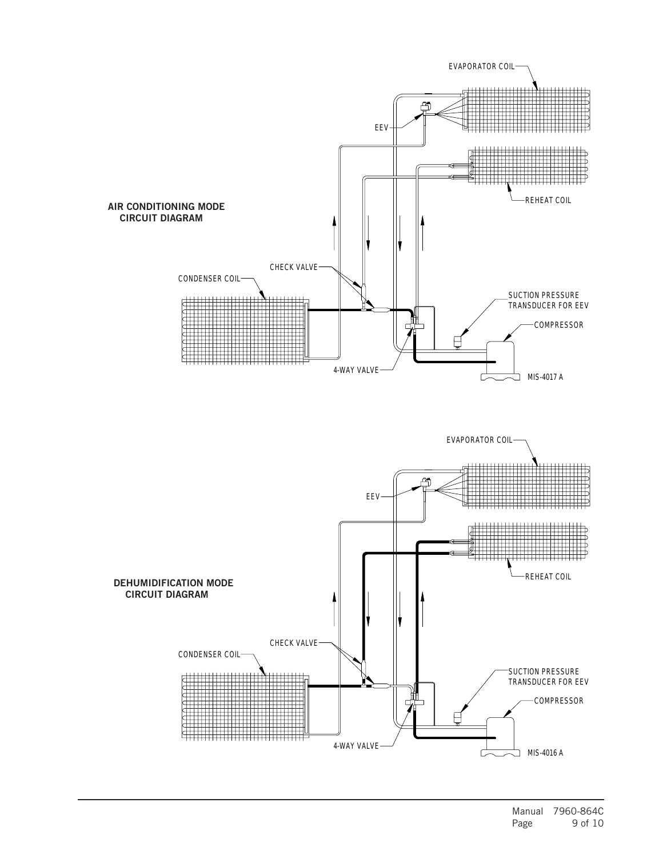